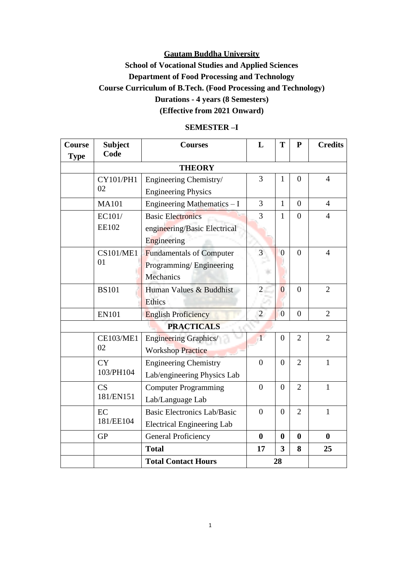# **School of Vocational Studies and Applied Sciences Department of Food Processing and Technology Course Curriculum of B.Tech. (Food Processing and Technology) Durations - 4 years (8 Semesters) (Effective from 2021 Onward)**

| Course<br><b>Type</b> | <b>Subject</b><br>Code                     | <b>Courses</b>                     | L              | T                       | ${\bf P}$      | <b>Credits</b> |
|-----------------------|--------------------------------------------|------------------------------------|----------------|-------------------------|----------------|----------------|
|                       |                                            | <b>THEORY</b>                      |                |                         |                |                |
|                       | CY101/PH1                                  | Engineering Chemistry/             | 3              | $\mathbf{1}$            | $\overline{0}$ | $\overline{4}$ |
|                       | 02                                         | <b>Engineering Physics</b>         |                |                         |                |                |
|                       | <b>MA101</b>                               | Engineering Mathematics $- I$      | 3              | $\mathbf{1}$            | $\overline{0}$ | $\overline{4}$ |
|                       | EC101/                                     | <b>Basic Electronics</b>           | 3              | $\mathbf{1}$            | $\overline{0}$ | $\overline{4}$ |
|                       | <b>EE102</b>                               | engineering/Basic Electrical       |                |                         |                |                |
|                       |                                            | Engineering                        |                |                         |                |                |
|                       | <b>CS101/ME1</b>                           | <b>Fundamentals of Computer</b>    | 3              | $\overline{0}$          | $\overline{0}$ | $\overline{4}$ |
|                       | 01                                         | Programming/Engineering            |                |                         |                |                |
|                       |                                            | Mechanics                          |                |                         |                |                |
|                       | <b>BS101</b>                               | Human Values & Buddhist            | $\overline{2}$ | $\overline{0}$          | $\overline{0}$ | $\overline{2}$ |
|                       |                                            | Ethics                             |                |                         |                |                |
|                       | <b>EN101</b><br><b>English Proficiency</b> |                                    | $\overline{2}$ | $\overline{0}$          | $\overline{0}$ | $\overline{2}$ |
|                       |                                            | <b>PRACTICALS</b>                  |                |                         |                |                |
|                       | <b>CE103/ME1</b>                           | <b>Engineering Graphics/</b>       | $\overline{1}$ | $\overline{0}$          | $\overline{2}$ | $\overline{2}$ |
|                       | 02                                         | <b>Workshop Practice</b>           |                |                         |                |                |
|                       | <b>CY</b>                                  | <b>Engineering Chemistry</b>       | $\theta$       | $\overline{0}$          | $\overline{2}$ | $\mathbf{1}$   |
|                       | 103/PH104                                  | Lab/engineering Physics Lab        |                |                         |                |                |
|                       | CS                                         | <b>Computer Programming</b>        | $\overline{0}$ | $\overline{0}$          | $\overline{2}$ | $\mathbf{1}$   |
|                       | 181/EN151                                  | Lab/Language Lab                   |                |                         |                |                |
|                       | EC                                         | <b>Basic Electronics Lab/Basic</b> | $\overline{0}$ | $\overline{0}$          | $\overline{2}$ | $\mathbf{1}$   |
|                       | 181/EE104                                  | <b>Electrical Engineering Lab</b>  |                |                         |                |                |
|                       | <b>GP</b>                                  | <b>General Proficiency</b>         | $\bf{0}$       | $\boldsymbol{0}$        | $\bf{0}$       | $\bf{0}$       |
|                       |                                            | <b>Total</b>                       | 17             | $\overline{\mathbf{3}}$ | 8              | 25             |
|                       |                                            | <b>Total Contact Hours</b>         |                | 28                      |                |                |

#### **SEMESTER –I**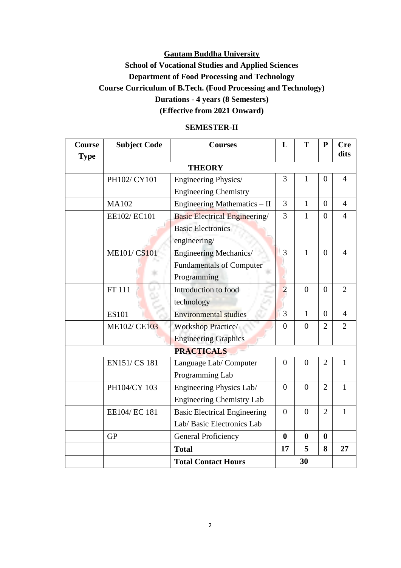# **School of Vocational Studies and Applied Sciences Department of Food Processing and Technology Course Curriculum of B.Tech. (Food Processing and Technology) Durations - 4 years (8 Semesters) (Effective from 2021 Onward)**

| Course<br><b>Type</b> | <b>Subject Code</b> | <b>Courses</b>                           | L                | T              | ${\bf P}$      | <b>Cre</b><br>dits |
|-----------------------|---------------------|------------------------------------------|------------------|----------------|----------------|--------------------|
|                       |                     | <b>THEORY</b>                            |                  |                |                |                    |
|                       | PH102/ CY101        | Engineering Physics/                     | 3                | $\mathbf{1}$   | $\overline{0}$ | $\overline{4}$     |
|                       |                     | <b>Engineering Chemistry</b>             |                  |                |                |                    |
|                       | <b>MA102</b>        | Engineering Mathematics - II             | 3                | $\mathbf{1}$   | $\overline{0}$ | $\overline{4}$     |
|                       | EE102/EC101         | <b>Basic Electrical Engineering</b>      | $\overline{3}$   | $\mathbf{1}$   | $\overline{0}$ | $\overline{4}$     |
|                       |                     | <b>Basic Electronics</b><br>engineering/ |                  |                |                |                    |
|                       | <b>ME101/CS101</b>  | <b>Engineering Mechanics/</b>            | 3                | $\mathbf{1}$   | $\theta$       | $\overline{4}$     |
|                       |                     | <b>Fundamentals of Computer</b>          |                  |                |                |                    |
|                       |                     | Programming                              |                  |                |                |                    |
|                       | <b>FT</b> 111       | Introduction to food                     | $\overline{2}$   | $\theta$       | $\Omega$       | $\overline{2}$     |
|                       |                     | technology                               |                  |                |                |                    |
|                       | <b>ES101</b>        | <b>Environmental studies</b>             | 3                | $\mathbf{1}$   | $\theta$       | $\overline{4}$     |
|                       | <b>ME102/CE103</b>  | <b>Workshop Practice/</b>                | $\Omega$         | $\theta$       | $\overline{2}$ | $\overline{2}$     |
|                       |                     | <b>Engineering Graphics</b>              |                  |                |                |                    |
|                       |                     | <b>PRACTICALS</b>                        |                  |                |                |                    |
|                       | EN151/CS 181        | Language Lab/Computer                    | $\overline{0}$   | $\overline{0}$ | $\overline{2}$ | $\mathbf{1}$       |
|                       |                     | Programming Lab                          |                  |                |                |                    |
|                       | PH104/CY 103        | Engineering Physics Lab/                 | $\overline{0}$   | $\overline{0}$ | $\overline{2}$ | $\mathbf{1}$       |
|                       |                     | <b>Engineering Chemistry Lab</b>         |                  |                |                |                    |
|                       | EE104/ EC 181       | <b>Basic Electrical Engineering</b>      | $\Omega$         | $\Omega$       | $\overline{2}$ | $\mathbf{1}$       |
|                       |                     | Lab/ Basic Electronics Lab               |                  |                |                |                    |
|                       | <b>GP</b>           | <b>General Proficiency</b>               | $\boldsymbol{0}$ | $\bf{0}$       | $\bf{0}$       |                    |
|                       |                     | <b>Total</b>                             | 17               | 5              | 8              | 27                 |
|                       |                     | <b>Total Contact Hours</b>               |                  | 30             |                |                    |

#### **SEMESTER-II**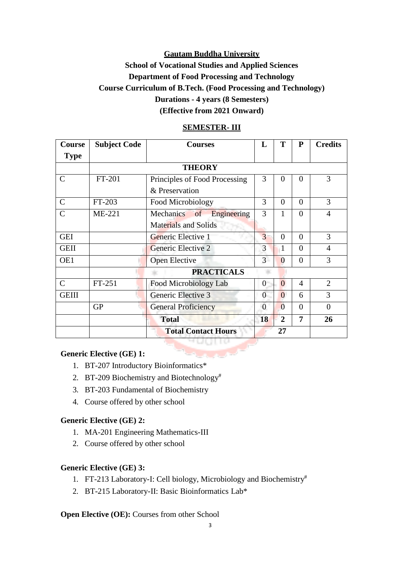# **School of Vocational Studies and Applied Sciences Department of Food Processing and Technology Course Curriculum of B.Tech. (Food Processing and Technology) Durations - 4 years (8 Semesters) (Effective from 2021 Onward)**

| <b>Course</b> | <b>Subject Code</b>              | Т<br>P<br>L<br><b>Courses</b>              |                                       |                |          | <b>Credits</b> |
|---------------|----------------------------------|--------------------------------------------|---------------------------------------|----------------|----------|----------------|
| <b>Type</b>   |                                  |                                            |                                       |                |          |                |
|               |                                  | <b>THEORY</b>                              |                                       |                |          |                |
| $\mathsf{C}$  | FT-201                           | Principles of Food Processing              | 3                                     | 0              | $\Omega$ | 3              |
|               |                                  | & Preservation                             |                                       |                |          |                |
| $\mathcal{C}$ | FT-203                           | Food Microbiology                          | 3                                     |                |          |                |
| $\mathsf{C}$  | $ME-221$                         | Mechanics of<br>Engineering                | $\overline{4}$                        |                |          |                |
|               |                                  | <b>Materials and Solids</b>                |                                       |                |          |                |
| <b>GEI</b>    |                                  | Generic Elective 1                         | 3                                     | $\theta$       | 3        |                |
| <b>GEII</b>   |                                  | Generic Elective 2                         | 3<br>$\Omega$<br>1                    |                |          | 4              |
| OE1           |                                  | 3<br>$\theta$<br>$\Omega$<br>Open Elective |                                       |                |          | 3              |
|               |                                  | <b>PRACTICALS</b>                          |                                       |                |          |                |
| $\mathcal{C}$ | FT-251                           | Food Microbiology Lab                      | $\overline{0}$                        | $\overline{0}$ | 4        | $\overline{2}$ |
| <b>GEIII</b>  |                                  | Generic Elective 3                         | $\overline{0}$<br>$\overline{0}$<br>6 |                | 3        |                |
|               | <b>GP</b>                        | <b>General Proficiency</b>                 |                                       | $\theta$       | $\Omega$ | $\theta$       |
|               |                                  | <b>Total</b>                               |                                       | $\overline{2}$ | 7        | 26             |
|               | <b>Total Contact Hours</b><br>27 |                                            |                                       |                |          |                |

#### **SEMESTER- III**

#### **Generic Elective (GE) 1:**

- 1. BT-207 Introductory Bioinformatics\*
- 2. BT-209 Biochemistry and Biotechnology<sup>#</sup>
- 3. BT-203 Fundamental of Biochemistry
- 4. Course offered by other school

#### **Generic Elective (GE) 2:**

- 1. MA-201 Engineering Mathematics-III
- 2. Course offered by other school

#### **Generic Elective (GE) 3:**

- 1. FT-213 Laboratory-I: Cell biology, Microbiology and Biochemistry#
- 2. BT-215 Laboratory-II: Basic Bioinformatics Lab\*

#### **Open Elective (OE):** Courses from other School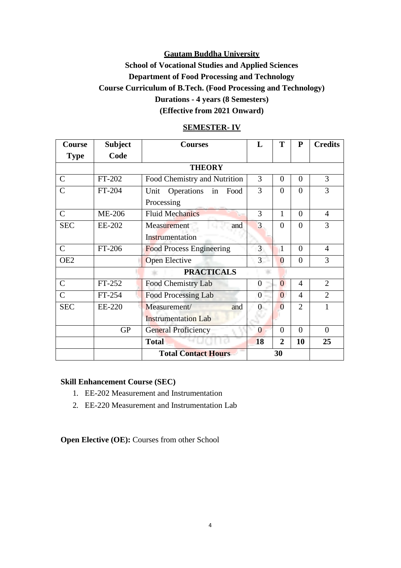# **School of Vocational Studies and Applied Sciences Department of Food Processing and Technology Course Curriculum of B.Tech. (Food Processing and Technology) Durations - 4 years (8 Semesters) (Effective from 2021 Onward)**

| <b>Course</b>   | <b>Subject</b> | <b>Courses</b>                   | L                         | T              | ${\bf P}$      | <b>Credits</b> |  |  |
|-----------------|----------------|----------------------------------|---------------------------|----------------|----------------|----------------|--|--|
| <b>Type</b>     | Code           |                                  |                           |                |                |                |  |  |
|                 |                | <b>THEORY</b>                    |                           |                |                |                |  |  |
| $\mathcal{C}$   | FT-202         | Food Chemistry and Nutrition     | 3<br>$\theta$<br>$\Omega$ |                |                |                |  |  |
| $\overline{C}$  | FT-204         | Unit<br>Operations<br>in<br>Food | 3<br>$\theta$<br>$\theta$ |                |                |                |  |  |
|                 |                | Processing                       |                           |                |                |                |  |  |
| $\mathcal{C}$   | <b>ME-206</b>  | <b>Fluid Mechanics</b>           | 3                         | 1              | $\theta$       | $\overline{4}$ |  |  |
| <b>SEC</b>      | EE-202         | Measurement<br>and               | 3<br>$\theta$<br>$\theta$ |                |                |                |  |  |
|                 |                | Instrumentation                  |                           |                |                |                |  |  |
| $\mathcal{C}$   | FT-206         | <b>Food Process Engineering</b>  | $\overline{3}$            | $\mathbf{1}$   | $\theta$       | $\overline{4}$ |  |  |
| OE <sub>2</sub> |                | <b>Open Elective</b>             | $\overline{3}$            | $\overline{0}$ | $\overline{0}$ | 3              |  |  |
|                 |                | <b>PRACTICALS</b>                |                           |                |                |                |  |  |
| $\mathsf{C}$    | FT-252         | Food Chemistry Lab               | $\Omega$                  | $\overline{0}$ | $\overline{4}$ | $\overline{2}$ |  |  |
| $\mathcal{C}$   | FT-254         | <b>Food Processing Lab</b>       | $\Omega$                  | $\Omega$       | 4              | $\mathfrak{2}$ |  |  |
| <b>SEC</b>      | EE-220         | Measurement/<br>and              |                           | $\Omega$       | $\overline{2}$ | 1              |  |  |
|                 |                | <b>Instrumentation Lab</b>       |                           |                |                |                |  |  |
|                 | <b>GP</b>      | <b>General Proficiency</b>       | $\theta$                  | $\theta$       | $\theta$       | $\overline{0}$ |  |  |
|                 |                | <b>Total</b>                     | <b>18</b>                 | $\overline{2}$ | 10             | 25             |  |  |
|                 |                | <b>Total Contact Hours</b><br>30 |                           |                |                |                |  |  |

#### **SEMESTER- IV**

#### **Skill Enhancement Course (SEC)**

- 1. EE-202 Measurement and Instrumentation
- 2. EE-220 Measurement and Instrumentation Lab

**Open Elective (OE):** Courses from other School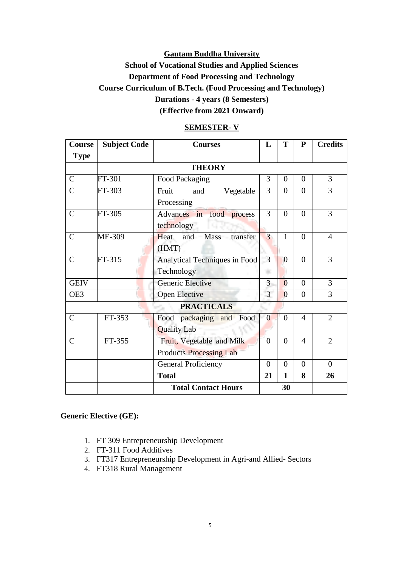# **School of Vocational Studies and Applied Sciences Department of Food Processing and Technology Course Curriculum of B.Tech. (Food Processing and Technology) Durations - 4 years (8 Semesters) (Effective from 2021 Onward)**

| Course        | <b>Subject Code</b> | <b>Courses</b>                 |                | T              | P              | <b>Credits</b> |
|---------------|---------------------|--------------------------------|----------------|----------------|----------------|----------------|
| <b>Type</b>   |                     |                                |                |                |                |                |
|               |                     | <b>THEORY</b>                  |                |                |                |                |
| $\mathbf C$   | FT-301              | Food Packaging                 | 3              | $\overline{0}$ | $\overline{0}$ | 3              |
| $\mathcal{C}$ | FT-303              | Vegetable<br>Fruit<br>and      | 3              | $\theta$       | $\theta$       | 3              |
|               |                     | Processing                     |                |                |                |                |
| $\mathbf C$   | FT-305              | Advances in<br>food process    | 3              | $\overline{0}$ | $\theta$       | 3              |
|               |                     | technology                     |                |                |                |                |
| $\mathcal{C}$ | ME-309              | transfer<br>and Mass<br>Heat.  | $\overline{3}$ | $\mathbf{1}$   | $\Omega$       | $\overline{4}$ |
|               |                     | (HMT)                          |                |                |                |                |
| $\mathcal{C}$ | FT-315              | Analytical Techniques in Food  | 3              | $\overline{0}$ | $\Omega$       | 3              |
|               |                     | Technology                     | ÷.             |                |                |                |
| <b>GEIV</b>   |                     | Generic Elective               | 3              | $\overline{0}$ | $\Omega$       | 3              |
| OE3           |                     | <b>Open Elective</b>           | $\overline{3}$ | $\overline{0}$ | $\overline{0}$ | 3              |
|               |                     | <b>PRACTICALS</b>              |                |                |                |                |
| $\mathcal{C}$ | FT-353              | Food packaging and Food        | $\overline{0}$ | $\overline{0}$ | $\overline{4}$ | $\overline{2}$ |
|               |                     | <b>Quality Lab</b>             |                |                |                |                |
| $\mathcal{C}$ | FT-355              | Fruit, Vegetable and Milk      | $\overline{0}$ | $\theta$       | $\overline{4}$ | $\overline{2}$ |
|               |                     | <b>Products Processing Lab</b> |                |                |                |                |
|               |                     | <b>General Proficiency</b>     |                | $\overline{0}$ | $\Omega$       | $\overline{0}$ |
|               |                     | <b>Total</b>                   | 21             | $\mathbf{1}$   | 8              | 26             |
|               |                     | <b>Total Contact Hours</b>     |                | 30             |                |                |

#### **SEMESTER- V**

#### **Generic Elective (GE):**

- 1. FT 309 Entrepreneurship Development
- 2. FT-311 Food Additives
- 3. FT317 Entrepreneurship Development in Agri-and Allied- Sectors
- 4. FT318 Rural Management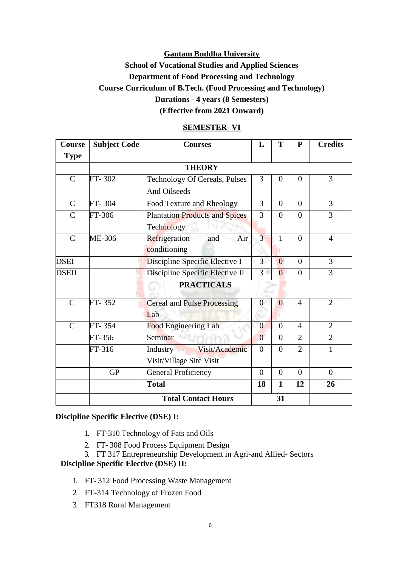# **School of Vocational Studies and Applied Sciences Department of Food Processing and Technology Course Curriculum of B.Tech. (Food Processing and Technology) Durations - 4 years (8 Semesters) (Effective from 2021 Onward)**

| Course        | <b>Subject Code</b> | <b>Courses</b>                        |                | T              | ${\bf P}$      | <b>Credits</b> |
|---------------|---------------------|---------------------------------------|----------------|----------------|----------------|----------------|
| <b>Type</b>   |                     |                                       |                |                |                |                |
|               |                     | <b>THEORY</b>                         |                |                |                |                |
| $\mathcal{C}$ | FT-302              | Technology Of Cereals, Pulses         | 3              | $\theta$       | $\theta$       | 3              |
|               |                     | And Oilseeds                          |                |                |                |                |
| $\mathsf{C}$  | FT-304              | Food Texture and Rheology             | 3              | $\Omega$       | $\Omega$       | 3              |
| $\mathcal{C}$ | FT-306              | <b>Plantation Products and Spices</b> | 3              | $\theta$       | $\theta$       | 3              |
|               |                     | Technology                            |                |                |                |                |
| $\mathcal{C}$ | ME-306              | Air<br>Refrigeration<br>and           | $\overline{3}$ | 1              | $\theta$       | $\overline{4}$ |
|               |                     | conditioning                          |                |                |                |                |
| <b>DSEI</b>   |                     | Discipline Specific Elective I        | 3 <sup>1</sup> | $\overline{0}$ | $\theta$       | $\overline{3}$ |
| <b>DSEII</b>  |                     | Discipline Specific Elective II       | 3 <sup>1</sup> | $\Omega$       | $\overline{0}$ | 3              |
|               |                     | <b>PRACTICALS</b>                     |                |                |                |                |
| $\mathcal{C}$ | FT-352              | <b>Cereal and Pulse Processing</b>    |                | $\Omega$       | $\overline{4}$ | $\overline{2}$ |
|               |                     | Lab                                   |                |                |                |                |
| $\mathsf{C}$  | FT-354              | <b>Food Engineering Lab</b>           | $\overline{0}$ | $\theta$       | $\overline{4}$ | $\overline{2}$ |
|               | FT-356              | Seminar                               | $\overline{0}$ | $\overline{0}$ | $\overline{2}$ | $\overline{2}$ |
|               | FT-316              | Visit/Academic<br>Industry            | $\overline{0}$ | $\Omega$       | $\overline{2}$ | 1              |
|               |                     | Visit/Village Site Visit              |                |                |                |                |
|               | <b>GP</b>           | <b>General Proficiency</b>            | $\Omega$       | $\theta$       | $\theta$       | $\Omega$       |
|               |                     | <b>Total</b>                          | 18             | $\mathbf{1}$   | 12             | 26             |
|               |                     | <b>Total Contact Hours</b>            |                | 31             |                |                |

#### **SEMESTER- VI**

#### **Discipline Specific Elective (DSE) I:**

- 1. FT-310 Technology of Fats and Oils
- 2. FT- 308 Food Process Equipment Design
- 3. FT 317 Entrepreneurship Development in Agri-and Allied- Sectors

# **Discipline Specific Elective (DSE) II:**

- 1. FT- 312 Food Processing Waste Management
- 2. FT-314 Technology of Frozen Food
- 3. FT318 Rural Management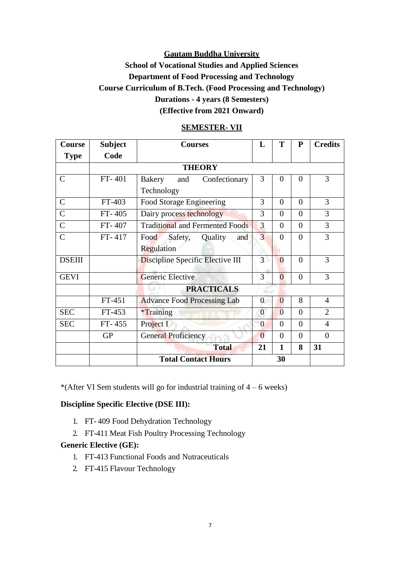# **School of Vocational Studies and Applied Sciences Department of Food Processing and Technology Course Curriculum of B.Tech. (Food Processing and Technology) Durations - 4 years (8 Semesters) (Effective from 2021 Onward)**

| Course         | <b>Subject</b>             | <b>Courses</b>                         | L              | T              | ${\bf P}$ | <b>Credits</b> |  |  |  |  |
|----------------|----------------------------|----------------------------------------|----------------|----------------|-----------|----------------|--|--|--|--|
| <b>Type</b>    | Code                       |                                        |                |                |           |                |  |  |  |  |
| <b>THEORY</b>  |                            |                                        |                |                |           |                |  |  |  |  |
| $\mathsf{C}$   | FT-401                     | Confectionary<br>Bakery<br>and         | 3              | $\Omega$       | $\Omega$  | 3              |  |  |  |  |
|                |                            | Technology                             |                |                |           |                |  |  |  |  |
| $\mathcal{C}$  | FT-403                     | Food Storage Engineering               | 3              | $\theta$       | $\Omega$  | 3              |  |  |  |  |
| $\mathsf{C}$   | FT-405                     | Dairy process technology               | 3              | $\theta$       | $\Omega$  | 3              |  |  |  |  |
| $\mathsf{C}$   | FT-407                     | <b>Traditional and Fermented Foods</b> | 3              | $\Omega$       | $\theta$  | 3              |  |  |  |  |
| $\overline{C}$ | $FT-417$                   | Safety,<br>Quality<br>Food<br>and      | 3              | $\Omega$       | $\theta$  | 3              |  |  |  |  |
|                |                            | Regulation                             |                |                |           |                |  |  |  |  |
| <b>DSEIII</b>  |                            | Discipline Specific Elective III       | $\overline{3}$ | $\theta$       | $\theta$  | 3              |  |  |  |  |
| <b>GEVI</b>    |                            | Generic Elective                       | 3              | $\overline{0}$ | $\theta$  | 3              |  |  |  |  |
|                |                            | <b>PRACTICALS</b>                      |                |                |           |                |  |  |  |  |
|                | FT-451                     | <b>Advance Food Processing Lab</b>     | 0              | $\theta$       | 8         | 4              |  |  |  |  |
| <b>SEC</b>     | FT-453                     | <i>*Training</i>                       | $\overline{0}$ | $\Omega$       | $\Omega$  | $\overline{2}$ |  |  |  |  |
| <b>SEC</b>     | $FT-455$                   | Project I                              | $\overline{0}$ | $\Omega$       | $\theta$  | $\overline{4}$ |  |  |  |  |
|                | <b>GP</b>                  | General Proficiency                    |                | $\theta$       | $\theta$  | $\theta$       |  |  |  |  |
|                |                            | <b>Total</b>                           |                | $\mathbf{1}$   | 8         | 31             |  |  |  |  |
|                | <b>Total Contact Hours</b> |                                        |                |                |           |                |  |  |  |  |

#### **SEMESTER- VII**

\*(After VI Sem students will go for industrial training of  $4 - 6$  weeks)

#### **Discipline Specific Elective (DSE III):**

- 1. FT- 409 Food Dehydration Technology
- 2. FT-411 Meat Fish Poultry Processing Technology

#### **Generic Elective (GE):**

- 1. FT-413 Functional Foods and Nutraceuticals
- 2. FT-415 Flavour Technology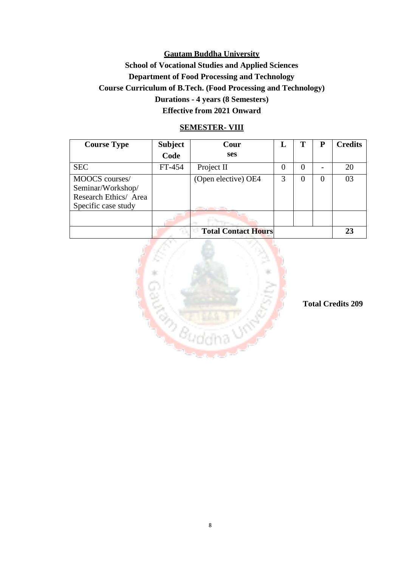# **Gautam Buddha University School of Vocational Studies and Applied Sciences Department of Food Processing and Technology Course Curriculum of B.Tech. (Food Processing and Technology) Durations - 4 years (8 Semesters) Effective from 2021 Onward**

## **SEMESTER- VIII**

| <b>Course Type</b>                                                                  | <b>Subject</b> | Cour                       | L        | т        | P | <b>Credits</b> |
|-------------------------------------------------------------------------------------|----------------|----------------------------|----------|----------|---|----------------|
|                                                                                     | Code           | <b>ses</b>                 |          |          |   |                |
| <b>SEC</b>                                                                          | FT-454         | Project II                 | $\theta$ | $\theta$ |   | 20             |
| MOOCS courses/<br>Seminar/Workshop/<br>Research Ethics/ Area<br>Specific case study |                | (Open elective) OE4        | 3        |          | 0 | 03             |
|                                                                                     |                |                            |          |          |   |                |
|                                                                                     |                | <b>Total Contact Hours</b> |          |          |   | 23             |



**Total Credits 209**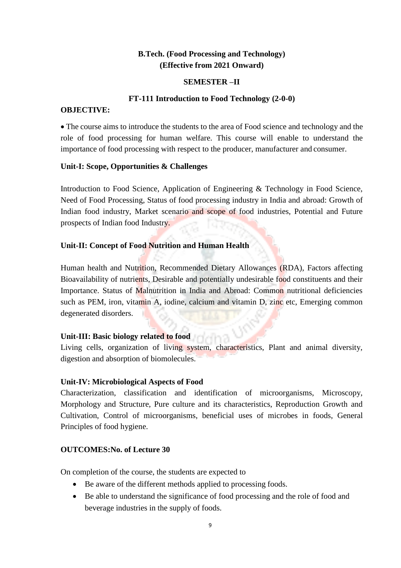# **B.Tech. (Food Processing and Technology) (Effective from 2021 Onward)**

#### **SEMESTER –II**

#### **FT-111 Introduction to Food Technology (2-0-0)**

#### **OBJECTIVE:**

 The course aims to introduce the students to the area of Food science and technology and the role of food processing for human welfare. This course will enable to understand the importance of food processing with respect to the producer, manufacturer and consumer.

#### **Unit-I: Scope, Opportunities & Challenges**

Introduction to Food Science, Application of Engineering & Technology in Food Science, Need of Food Processing, Status of food processing industry in India and abroad: Growth of Indian food industry, Market scenario and scope of food industries, Potential and Future prospects of Indian food Industry.

#### **Unit-II: Concept of Food Nutrition and Human Health**

Human health and Nutrition, Recommended Dietary Allowances (RDA), Factors affecting Bioavailability of nutrients, Desirable and potentially undesirable food constituents and their Importance. Status of Malnutrition in India and Abroad: Common nutritional deficiencies such as PEM, iron, vitamin A, iodine, calcium and vitamin D, zinc etc, Emerging common degenerated disorders.

#### **Unit-III: Basic biology related to food**

Living cells, organization of living system, characteristics, Plant and animal diversity, digestion and absorption of biomolecules.

#### **Unit-IV: Microbiological Aspects of Food**

Characterization, classification and identification of microorganisms, Microscopy, Morphology and Structure, Pure culture and its characteristics, Reproduction Growth and Cultivation, Control of microorganisms, beneficial uses of microbes in foods, General Principles of food hygiene.

#### **OUTCOMES:No. of Lecture 30**

On completion of the course, the students are expected to

- Be aware of the different methods applied to processing foods.
- Be able to understand the significance of food processing and the role of food and beverage industries in the supply of foods.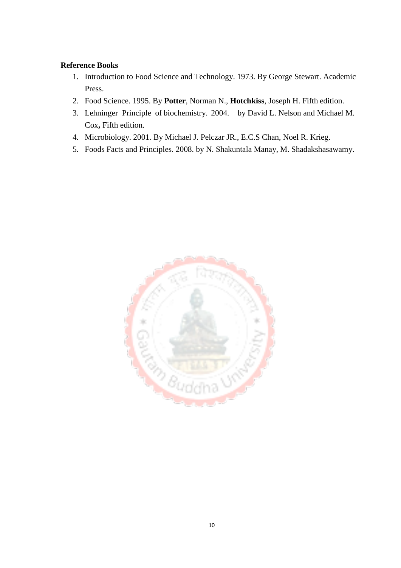## **Reference Books**

- 1. Introduction to Food Science and Technology. 1973. By George Stewart. Academic Press.
- 2. Food Science. 1995. By **Potter**, Norman N., **Hotchkiss**, Joseph H. Fifth edition.
- 3. Lehninger Principle of biochemistry. 2004. by David L. Nelson and Michael M. Cox**,** Fifth edition.
- 4. Microbiology. 2001. By Michael J. Pelczar JR., E.C.S Chan, Noel R. Krieg.
- 5. Foods Facts and Principles. 2008. by N. Shakuntala Manay, M. Shadakshasawamy.

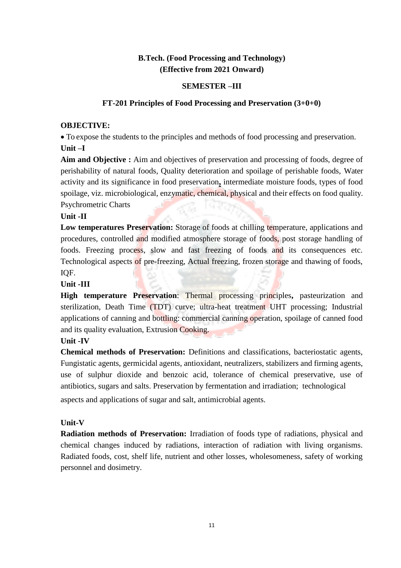# **B.Tech. (Food Processing and Technology) (Effective from 2021 Onward)**

## **SEMESTER –III**

## **FT-201 Principles of Food Processing and Preservation (3+0+0)**

#### **OBJECTIVE:**

 To expose the students to the principles and methods of food processing and preservation. **Unit –I**

**Aim and Objective :** Aim and objectives of preservation and processing of foods, degree of perishability of natural foods, Quality deterioration and spoilage of perishable foods, Water activity and its significance in food preservation**,** intermediate moisture foods, types of food spoilage, viz. microbiological, enzymatic, chemical, physical and their effects on food quality. Psychrometric Charts

#### **Unit -II**

Low temperatures Preservation: Storage of foods at chilling temperature, applications and procedures, controlled and modified atmosphere storage of foods, post storage handling of foods. Freezing process, slow and fast freezing of foods and its consequences etc. Technological aspects of pre-freezing, Actual freezing, frozen storage and thawing of foods, IQF.

#### **Unit -III**

**High temperature Preservation**: Thermal processing principles**,** pasteurization and sterilization, Death Time (TDT) curve; ultra-heat treatment UHT processing; Industrial applications of canning and bottling: commercial canning operation, spoilage of canned food and its quality evaluation, Extrusion Cooking.

# **Unit -IV**

**Chemical methods of Preservation:** Definitions and classifications, bacteriostatic agents, Fungistatic agents, germicidal agents, antioxidant, neutralizers, stabilizers and firming agents, use of sulphur dioxide and benzoic acid, tolerance of chemical preservative, use of antibiotics, sugars and salts. Preservation by fermentation and irradiation; technological aspects and applications of sugar and salt, antimicrobial agents.

#### **Unit-V**

**Radiation methods of Preservation:** Irradiation of foods type of radiations, physical and chemical changes induced by radiations, interaction of radiation with living organisms. Radiated foods, cost, shelf life, nutrient and other losses, wholesomeness, safety of working personnel and dosimetry.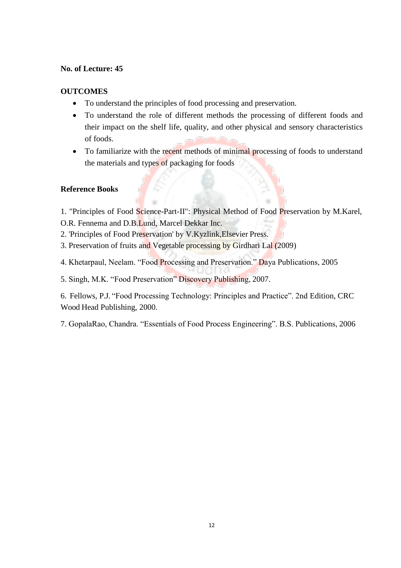#### **No. of Lecture: 45**

#### **OUTCOMES**

- To understand the principles of food processing and preservation.
- To understand the role of different methods the processing of different foods and their impact on the shelf life, quality, and other physical and sensory characteristics of foods.
- To familiarize with the recent methods of minimal processing of foods to understand the materials and types of packaging for foods

# **Reference Books**

1. "Principles of Food Science-Part-II": Physical Method of Food Preservation by M.Karel, O.R. Fennema and D.B.Lund, Marcel Dekkar Inc.

- 2. 'Principles of Food Preservation' by V.Kyzlink,Elsevier Press.
- 3. Preservation of fruits and Vegetable processing by Girdhari Lal (2009)
- 4. Khetarpaul, Neelam. "Food Processing and Preservation." Daya Publications, 2005
- 5. Singh, M.K. "Food Preservation" Discovery Publishing, 2007.

6. Fellows, P.J. "Food Processing Technology: Principles and Practice". 2nd Edition, CRC Wood Head Publishing, 2000.

7. GopalaRao, Chandra. "Essentials of Food Process Engineering". B.S. Publications, 2006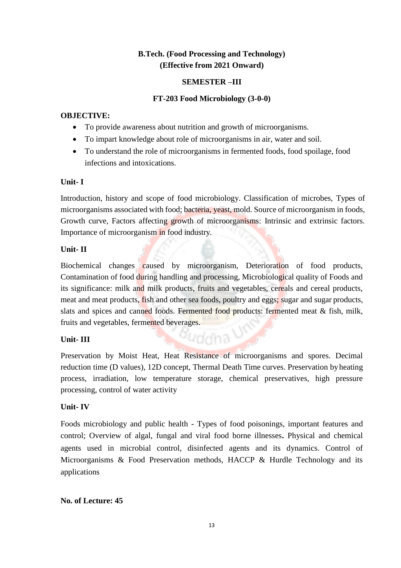# **B.Tech. (Food Processing and Technology) (Effective from 2021 Onward)**

#### **SEMESTER –III**

# **FT-203 Food Microbiology (3-0-0)**

# **OBJECTIVE:**

- To provide awareness about nutrition and growth of microorganisms.
- To impart knowledge about role of microorganisms in air, water and soil.
- To understand the role of microorganisms in fermented foods, food spoilage, food infections and intoxications.

# **Unit- I**

Introduction, history and scope of food microbiology. Classification of microbes, Types of microorganisms associated with food; bacteria, yeast, mold. Source of microorganism in foods, Growth curve, Factors affecting growth of microorganisms: Intrinsic and extrinsic factors. Importance of microorganism in food industry.

# **Unit- II**

Biochemical changes caused by microorganism, Deterioration of food products, Contamination of food during handling and processing, Microbiological quality of Foods and its significance: milk and milk products, fruits and vegetables, cereals and cereal products, meat and meat products, fish and other sea foods, poultry and eggs; sugar and sugar products, slats and spices and canned foods. Fermented food products: fermented meat & fish, milk, fruits and vegetables, fermented beverages.

# **Unit- III**

Preservation by Moist Heat, Heat Resistance of microorganisms and spores. Decimal reduction time (D values), 12D concept, Thermal Death Time curves. Preservation byheating process, irradiation, low temperature storage, chemical preservatives, high pressure processing, control of water activity

guddha -

# **Unit- IV**

Foods microbiology and public health - Types of food poisonings, important features and control; Overview of algal, fungal and viral food borne illnesses**.** Physical and chemical agents used in microbial control, disinfected agents and its dynamics. Control of Microorganisms & Food Preservation methods, HACCP & Hurdle Technology and its applications

# **No. of Lecture: 45**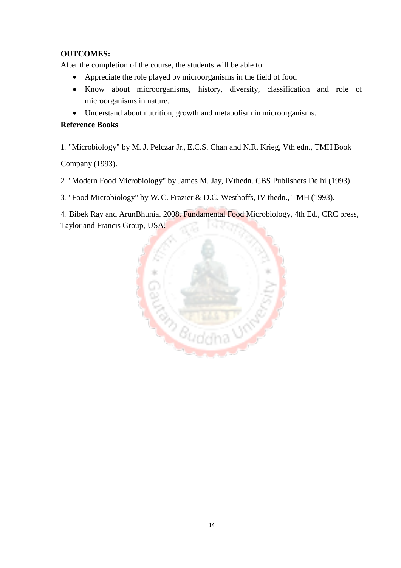# **OUTCOMES:**

After the completion of the course, the students will be able to:

- Appreciate the role played by microorganisms in the field of food
- Know about microorganisms, history, diversity, classification and role of microorganisms in nature.
- Understand about nutrition, growth and metabolism in microorganisms.

# **Reference Books**

1. "Microbiology" by M. J. Pelczar Jr., E.C.S. Chan and N.R. Krieg, Vth edn., TMH Book

Company (1993).

2. "Modern Food Microbiology" by James M. Jay, IVthedn. CBS Publishers Delhi (1993).

3. "Food Microbiology" by W. C. Frazier & D.C. Westhoffs, IV thedn., TMH (1993).

4. Bibek Ray and ArunBhunia. 2008. Fundamental Food Microbiology, 4th Ed., CRC press, Taylor and Francis Group, USA.

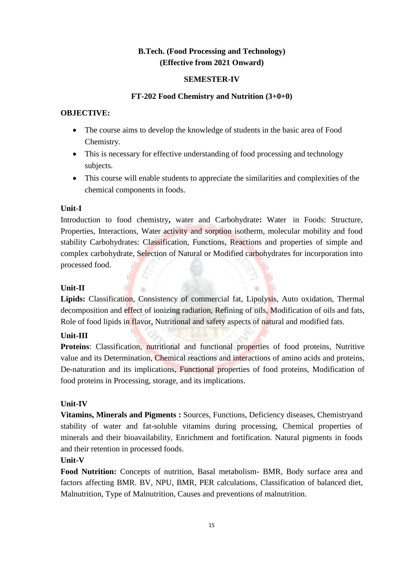# **B.Tech. (Food Processing and Technology) (Effective from 2021 Onward)**

## **SEMESTER-IV**

## **FT-202 Food Chemistry and Nutrition (3+0+0)**

## **OBJECTIVE:**

- The course aims to develop the knowledge of students in the basic area of Food Chemistry.
- This is necessary for effective understanding of food processing and technology subjects.
- This course will enable students to appreciate the similarities and complexities of the chemical components in foods.

# **Unit-I**

Introduction to food chemistry**,** water and Carbohydrate**:** Water in Foods: Structure, Properties, Interactions, Water activity and sorption isotherm, molecular mobility and food stability Carbohydrates: Classification, Functions, Reactions and properties of simple and complex carbohydrate, Selection of Natural or Modified carbohydrates for incorporation into processed food.

#### **Unit-II**

**Lipids:** Classification, Consistency of commercial fat, Lipolysis, Auto oxidation, Thermal decomposition and effect of ionizing radiation, Refining of oils, Modification of oils and fats, Role of food lipids in flavor, Nutritional and safety aspects of natural and modified fats.

# **Unit-III**

Proteins: Classification, nutritional and functional properties of food proteins, Nutritive value and its Determination, Chemical reactions and interactions of amino acids and proteins, De-naturation and its implications, Functional properties of food proteins, Modification of food proteins in Processing, storage, and its implications.

# **Unit-IV**

**Vitamins, Minerals and Pigments :** Sources, Functions, Deficiency diseases, Chemistryand stability of water and fat-soluble vitamins during processing, Chemical properties of minerals and their bioavailability, Enrichment and fortification. Natural pigments in foods and their retention in processed foods.

# **Unit-V**

**Food Nutrition:** Concepts of nutrition, Basal metabolism- BMR, Body surface area and factors affecting BMR. BV, NPU, BMR, PER calculations, Classification of balanced diet, Malnutrition, Type of Malnutrition, Causes and preventions of malnutrition.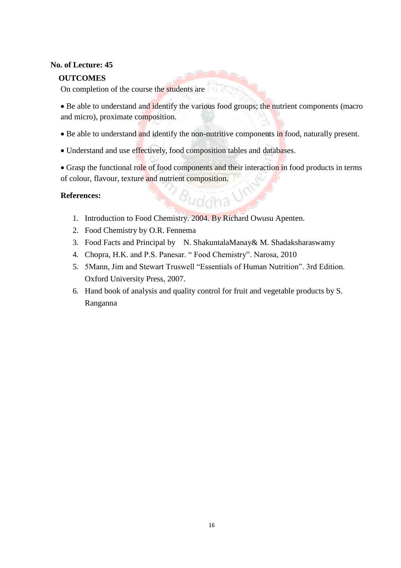#### **No. of Lecture: 45**

## **OUTCOMES**

On completion of the course the students are

• Be able to understand and identify the various food groups; the nutrient components (macro and micro), proximate composition.

- Be able to understand and identify the non-nutritive components in food, naturally present.
- Understand and use effectively, food composition tables and databases.

• Grasp the functional role of food components and their interaction in food products in terms of colour, flavour, texture and nutrient composition.

guddha

#### **References:**

- 1. Introduction to Food Chemistry. 2004. By Richard Owusu Apenten.
- 2. Food Chemistry by O.R. Fennema
- 3. Food Facts and Principal by N. ShakuntalaManay & M. Shadaksharaswamy
- 4. Chopra, H.K. and P.S. Panesar. " Food Chemistry". Narosa, 2010
- 5. 5Mann, Jim and Stewart Truswell "Essentials of Human Nutrition". 3rd Edition. Oxford University Press, 2007.
- 6. Hand book of analysis and quality control for fruit and vegetable products by S. Ranganna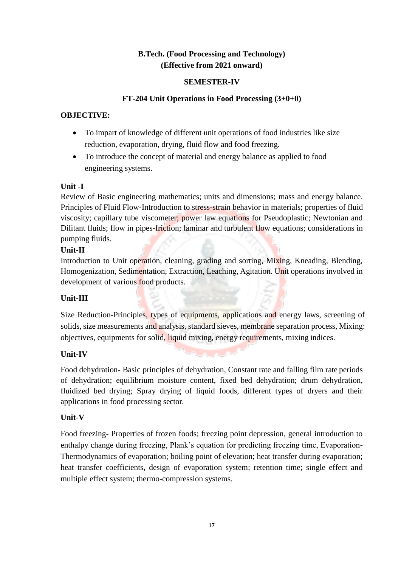# **B.Tech. (Food Processing and Technology) (Effective from 2021 onward)**

# **SEMESTER-IV**

# **FT-204 Unit Operations in Food Processing (3+0+0)**

# **OBJECTIVE:**

- To impart of knowledge of different unit operations of food industries like size reduction, evaporation, drying, fluid flow and food freezing.
- To introduce the concept of material and energy balance as applied to food engineering systems.

# **Unit -I**

Review of Basic engineering mathematics; units and dimensions; mass and energy balance. Principles of Fluid Flow-Introduction to stress-strain behavior in materials; properties of fluid viscosity; capillary tube viscometer; power law equations for Pseudoplastic; Newtonian and Dilitant fluids; flow in pipes-friction; laminar and turbulent flow equations; considerations in pumping fluids.

# **Unit-II**

Introduction to Unit operation, cleaning, grading and sorting, Mixing, Kneading, Blending, Homogenization, Sedimentation, Extraction, Leaching, Agitation. Unit operations involved in development of various food products.

# **Unit-III**

Size Reduction-Principles, types of equipments, applications and energy laws, screening of solids, size measurements and analysis, standard sieves, membrane separation process, Mixing: objectives, equipments for solid, liquid mixing, energy requirements, mixing indices.

# **Unit-IV**

Food dehydration- Basic principles of dehydration, Constant rate and falling film rate periods of dehydration; equilibrium moisture content, fixed bed dehydration; drum dehydration, fluidized bed drying; Spray drying of liquid foods, different types of dryers and their applications in food processing sector.

# **Unit-V**

Food freezing- Properties of frozen foods; freezing point depression, general introduction to enthalpy change during freezing, Plank's equation for predicting freezing time, Evaporation-Thermodynamics of evaporation; boiling point of elevation; heat transfer during evaporation; heat transfer coefficients, design of evaporation system; retention time; single effect and multiple effect system; thermo-compression systems.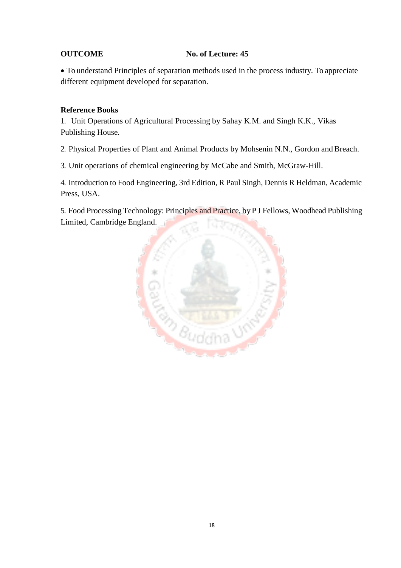# **OUTCOME No. of Lecture: 45**

 To understand Principles of separation methods used in the process industry. To appreciate different equipment developed for separation.

# **Reference Books**

1. Unit Operations of Agricultural Processing by Sahay K.M. and Singh K.K., Vikas Publishing House.

2. Physical Properties of Plant and Animal Products by Mohsenin N.N., Gordon and Breach.

3. Unit operations of chemical engineering by McCabe and Smith, McGraw-Hill.

4. Introduction to Food Engineering, 3rd Edition, R Paul Singh, Dennis R Heldman, Academic Press, USA.

5. Food Processing Technology: Principles and Practice, by P J Fellows, Woodhead Publishing Limited, Cambridge England.

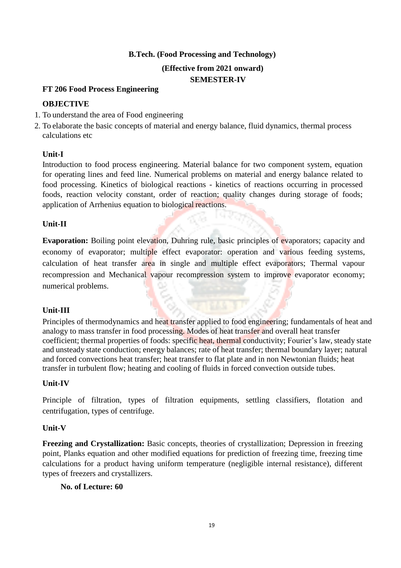# **B.Tech. (Food Processing and Technology)**

#### **(Effective from 2021 onward) SEMESTER-IV**

#### **FT 206 Food Process Engineering**

## **OBJECTIVE**

- 1. To understand the area of Food engineering
- 2. To elaborate the basic concepts of material and energy balance, fluid dynamics, thermal process calculations etc

# **Unit-I**

Introduction to food process engineering. Material balance for two component system, equation for operating lines and feed line. Numerical problems on material and energy balance related to food processing. Kinetics of biological reactions - kinetics of reactions occurring in processed foods, reaction velocity constant, order of reaction; quality changes during storage of foods; application of Arrhenius equation to biological reactions.

#### **Unit-II**

**Evaporation:** Boiling point elevation, Duhring rule, basic principles of evaporators; capacity and economy of evaporator; multiple effect evaporator: operation and various feeding systems, calculation of heat transfer area in single and multiple effect evaporators; Thermal vapour recompression and Mechanical vapour recompression system to improve evaporator economy; numerical problems.

# **Unit-III**

Principles of thermodynamics and heat transfer applied to food engineering; fundamentals of heat and analogy to mass transfer in food processing. Modes of heat transfer and overall heat transfer coefficient; thermal properties of foods: specific heat, thermal conductivity; Fourier's law, steady state and unsteady state conduction; energy balances; rate of heat transfer; thermal boundary layer; natural and forced convections heat transfer; heat transfer to flat plate and in non Newtonian fluids; heat transfer in turbulent flow; heating and cooling of fluids in forced convection outside tubes.

# **Unit-IV**

Principle of filtration, types of filtration equipments, settling classifiers, flotation and centrifugation, types of centrifuge.

#### **Unit-V**

**Freezing and Crystallization:** Basic concepts, theories of crystallization; Depression in freezing point, Planks equation and other modified equations for prediction of freezing time, freezing time calculations for a product having uniform temperature (negligible internal resistance), different types of freezers and crystallizers.

#### **No. of Lecture: 60**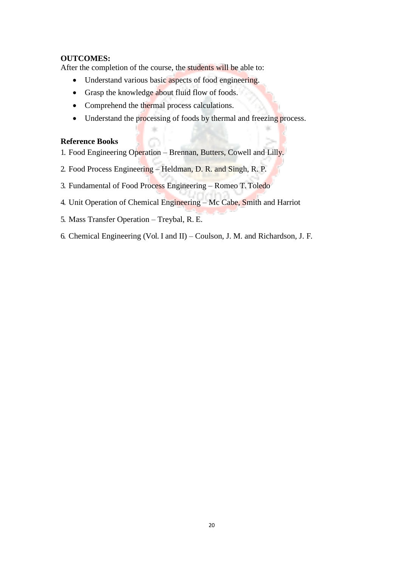# **OUTCOMES:**

After the completion of the course, the students will be able to:

- Understand various basic aspects of food engineering.
- Grasp the knowledge about fluid flow of foods.
- Comprehend the thermal process calculations.
- Understand the processing of foods by thermal and freezing process.

#### **Reference Books**

- 1. Food Engineering Operation Brennan, Butters, Cowell and Lilly.
- 2. Food Process Engineering Heldman, D. R. and Singh, R. P.
- 3. Fundamental of Food Process Engineering Romeo T. Toledo
- 4. Unit Operation of Chemical Engineering Mc Cabe, Smith and Harriot
- 5. Mass Transfer Operation Treybal, R. E.
- 6. Chemical Engineering (Vol. I and II) Coulson, J. M. and Richardson, J. F.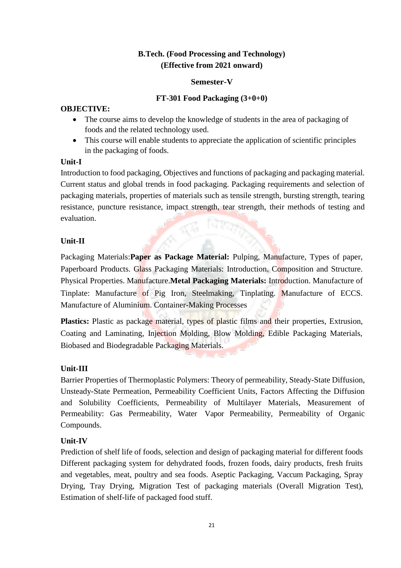# **B.Tech. (Food Processing and Technology) (Effective from 2021 onward)**

#### **Semester-V**

# **FT-301 Food Packaging (3+0+0)**

# **OBJECTIVE:**

- The course aims to develop the knowledge of students in the area of packaging of foods and the related technology used.
- This course will enable students to appreciate the application of scientific principles in the packaging of foods.

#### **Unit-I**

Introduction to food packaging, Objectives and functions of packaging and packaging material. Current status and global trends in food packaging. Packaging requirements and selection of packaging materials, properties of materials such as tensile strength, bursting strength, tearing resistance, puncture resistance, impact strength, tear strength, their methods of testing and evaluation.

# **Unit-II**

Packaging Materials:**Paper as Package Material:** Pulping, Manufacture, Types of paper, Paperboard Products. Glass Packaging Materials: Introduction. Composition and Structure. Physical Properties. Manufacture.**Metal Packaging Materials:** Introduction. Manufacture of Tinplate: Manufacture of Pig Iron, Steelmaking, Tinplating. Manufacture of ECCS. Manufacture of Aluminium. Container-Making Processes

**Plastics:** Plastic as package material, types of plastic films and their properties, Extrusion, Coating and Laminating, Injection Molding, Blow Molding, Edible Packaging Materials, Biobased and Biodegradable Packaging Materials.

# **Unit-III**

Barrier Properties of Thermoplastic Polymers: Theory of permeability, Steady-State Diffusion, Unsteady-State Permeation, Permeability Coefficient Units, Factors Affecting the Diffusion and Solubility Coefficients, Permeability of Multilayer Materials, Measurement of Permeability: Gas Permeability, Water Vapor Permeability, Permeability of Organic Compounds.

# **Unit-IV**

Prediction of shelf life of foods, selection and design of packaging material for different foods Different packaging system for dehydrated foods, frozen foods, dairy products, fresh fruits and vegetables, meat, poultry and sea foods. Aseptic Packaging, Vaccum Packaging, Spray Drying, Tray Drying, Migration Test of packaging materials (Overall Migration Test), Estimation of shelf-life of packaged food stuff.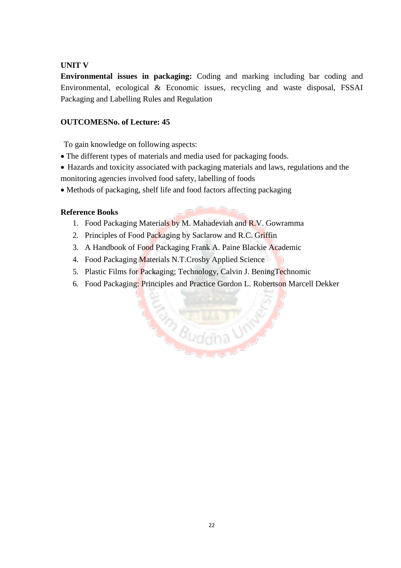# **UNIT V**

**Environmental issues in packaging:** Coding and marking including bar coding and Environmental, ecological & Economic issues, recycling and waste disposal, FSSAI Packaging and Labelling Rules and Regulation

#### **OUTCOMESNo. of Lecture: 45**

To gain knowledge on following aspects:

- The different types of materials and media used for packaging foods.
- Hazards and toxicity associated with packaging materials and laws, regulations and the monitoring agencies involved food safety, labelling of foods
- Methods of packaging, shelf life and food factors affecting packaging

#### **Reference Books**

- 1. Food Packaging Materials by M. Mahadeviah and R.V. Gowramma
- 2. Principles of Food Packaging by Saclarow and R.C. Griffin
- 3. A Handbook of Food Packaging Frank A. Paine Blackie Academic
- 4. Food Packaging Materials N.T.Crosby Applied Science
- 5. Plastic Films for Packaging; Technology, Calvin J. BeningTechnomic
- 6. Food Packaging: Principles and Practice Gordon L. Robertson Marcell Dekker

Bauddha UN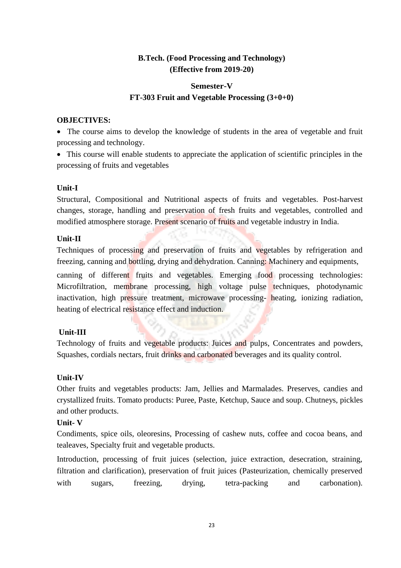# **B.Tech. (Food Processing and Technology) (Effective from 2019-20)**

# **Semester-V FT-303 Fruit and Vegetable Processing (3+0+0)**

#### **OBJECTIVES:**

• The course aims to develop the knowledge of students in the area of vegetable and fruit processing and technology.

 This course will enable students to appreciate the application of scientific principles in the processing of fruits and vegetables

# **Unit-I**

Structural, Compositional and Nutritional aspects of fruits and vegetables. Post-harvest changes, storage, handling and preservation of fresh fruits and vegetables, controlled and modified atmosphere storage. Present scenario of fruits and vegetable industry in India.

# **Unit-II**

Techniques of processing and preservation of fruits and vegetables by refrigeration and freezing, canning and bottling, drying and dehydration. Canning: Machinery and equipments,

canning of different fruits and vegetables. Emerging food processing technologies: Microfiltration, membrane processing, high voltage pulse techniques, photodynamic inactivation, high pressure treatment, microwave processing- heating, ionizing radiation, heating of electrical resistance effect and induction.

# **Unit-III**

Technology of fruits and vegetable products: Juices and pulps, Concentrates and powders, Squashes, cordials nectars, fruit drinks and carbonated beverages and its quality control.

# **Unit-IV**

Other fruits and vegetables products: Jam, Jellies and Marmalades. Preserves, candies and crystallized fruits. Tomato products: Puree, Paste, Ketchup, Sauce and soup. Chutneys, pickles and other products.

# **Unit- V**

Condiments, spice oils, oleoresins, Processing of cashew nuts, coffee and cocoa beans, and tealeaves, Specialty fruit and vegetable products.

Introduction, processing of fruit juices (selection, juice extraction, desecration, straining, filtration and clarification), preservation of fruit juices (Pasteurization, chemically preserved with sugars, freezing, drying, tetra-packing and carbonation).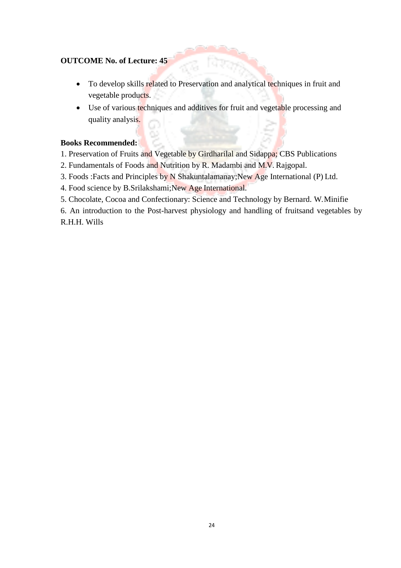# **OUTCOME No. of Lecture: 45**

- To develop skills related to Preservation and analytical techniques in fruit and vegetable products.
- Use of various techniques and additives for fruit and vegetable processing and quality analysis.

#### **Books Recommended:**

1. Preservation of Fruits and Vegetable by Girdharilal and Sidappa; CBS Publications

- 2. Fundamentals of Foods and Nutrition by R. Madambi and M.V. Rajgopal.
- 3. Foods :Facts and Principles by N Shakuntalamanay;New Age International (P) Ltd.
- 4. Food science by B.Srilakshami;New Age International.
- 5. Chocolate, Cocoa and Confectionary: Science and Technology by Bernard. W.Minifie

6. An introduction to the Post-harvest physiology and handling of fruitsand vegetables by R.H.H. Wills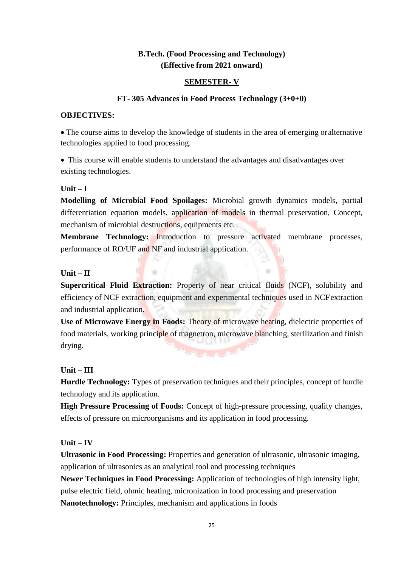# **B.Tech. (Food Processing and Technology) (Effective from 2021 onward)**

#### **SEMESTER- V**

# **FT- 305 Advances in Food Process Technology (3+0+0)**

#### **OBJECTIVES:**

 The course aims to develop the knowledge of students in the area of emerging oralternative technologies applied to food processing.

• This course will enable students to understand the advantages and disadvantages over existing technologies.

#### **Unit – I**

**Modelling of Microbial Food Spoilages:** Microbial growth dynamics models, partial differentiation equation models, application of models in thermal preservation, Concept, mechanism of microbial destructions, equipments etc.

**Membrane Technology:** Introduction to pressure activated membrane processes, performance of RO/UF and NF and industrial application.

#### **Unit – II**

**Supercritical Fluid Extraction:** Property of near critical fluids (NCF), solubility and efficiency of NCF extraction, equipment and experimental techniques used in NCFextraction and industrial application.

**Use of Microwave Energy in Foods:** Theory of microwave heating, dielectric properties of food materials, working principle of magnetron, microwave blanching, sterilization and finish drying.

#### **Unit – III**

**Hurdle Technology:** Types of preservation techniques and their principles, concept of hurdle technology and its application.

**High Pressure Processing of Foods:** Concept of high-pressure processing, quality changes, effects of pressure on microorganisms and its application in food processing.

#### **Unit – IV**

**Ultrasonic in Food Processing:** Properties and generation of ultrasonic, ultrasonic imaging, application of ultrasonics as an analytical tool and processing techniques

**Newer Techniques in Food Processing:** Application of technologies of high intensity light, pulse electric field, ohmic heating, micronization in food processing and preservation **Nanotechnology:** Principles, mechanism and applications in foods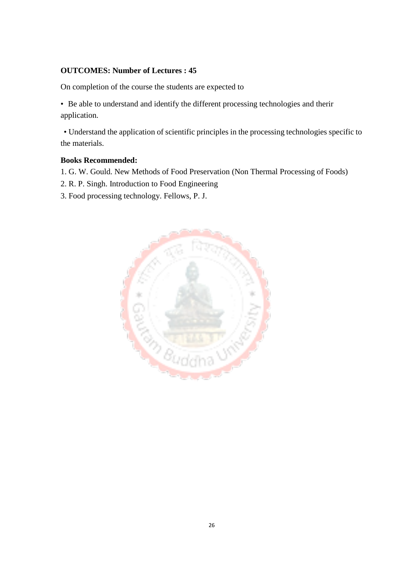# **OUTCOMES: Number of Lectures : 45**

On completion of the course the students are expected to

• Be able to understand and identify the different processing technologies and therir application.

• Understand the application of scientific principles in the processing technologies specific to the materials.

#### **Books Recommended:**

- 1. G. W. Gould. New Methods of Food Preservation (Non Thermal Processing of Foods)
- 2. R. P. Singh. Introduction to Food Engineering
- 3. Food processing technology. Fellows, P. J.

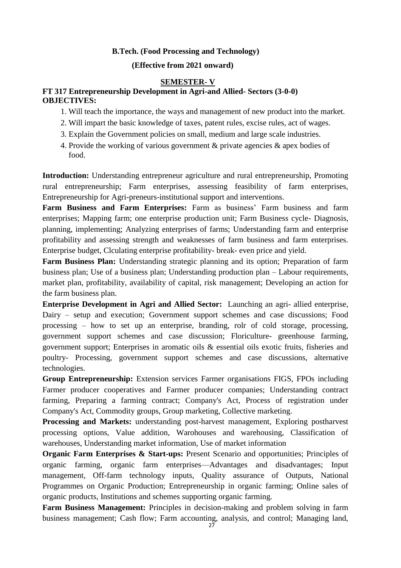#### **B.Tech. (Food Processing and Technology)**

#### **(Effective from 2021 onward)**

#### **SEMESTER- V**

#### **FT 317 Entrepreneurship Development in Agri-and Allied- Sectors (3-0-0) OBJECTIVES:**

- 1. Will teach the importance, the ways and management of new product into the market.
- 2. Will impart the basic knowledge of taxes, patent rules, excise rules, act of wages.
- 3. Explain the Government policies on small, medium and large scale industries.
- 4. Provide the working of various government & private agencies & apex bodies of food.

**Introduction:** Understanding entrepreneur agriculture and rural entrepreneurship, Promoting rural entrepreneurship; Farm enterprises, assessing feasibility of farm enterprises, Entrepreneurship for Agri-preneurs-institutional support and interventions.

**Farm Business and Farm Enterprises:** Farm as business' Farm business and farm enterprises; Mapping farm; one enterprise production unit; Farm Business cycle- Diagnosis, planning, implementing; Analyzing enterprises of farms; Understanding farm and enterprise profitability and assessing strength and weaknesses of farm business and farm enterprises. Enterprise budget, Clculating enterprise profitability- break- even price and yield.

**Farm Business Plan:** Understanding strategic planning and its option; Preparation of farm business plan; Use of a business plan; Understanding production plan – Labour requirements, market plan, profitability, availability of capital, risk management; Developing an action for the farm business plan.

**Enterprise Development in Agri and Allied Sector:** Launching an agri- allied enterprise, Dairy – setup and execution; Government support schemes and case discussions; Food processing – how to set up an enterprise, branding, rolr of cold storage, processing, government support schemes and case discussion; Floriculture- greenhouse farming, government support; Enterprises in aromatic oils & essential oils exotic fruits, fisheries and poultry- Processing, government support schemes and case discussions, alternative technologies.

**Group Entrepreneurship:** Extension services Farmer organisations FIGS, FPOs including Farmer producer cooperatives and Farmer producer companies; Understanding contract farming, Preparing a farming contract; Company's Act, Process of registration under Company's Act, Commodity groups, Group marketing, Collective marketing.

**Processing and Markets:** understanding post-harvest management, Exploring postharvest processing options, Value addition, Warohouses and warehousing, Classification of warehouses, Understanding market information, Use of market information

**Organic Farm Enterprises & Start-ups:** Present Scenario and opportunities; Principles of organic farming, organic farm enterprises—Advantages and disadvantages; Input management, Off-farm technology inputs, Quality assurance of Outputs, National Programmes on Organic Production; Entrepreneurship in organic farming; Online sales of organic products, Institutions and schemes supporting organic farming.

**Farm Business Management:** Principles in decision-making and problem solving in farm business management; Cash flow; Farm accounting, analysis, and control; Managing land,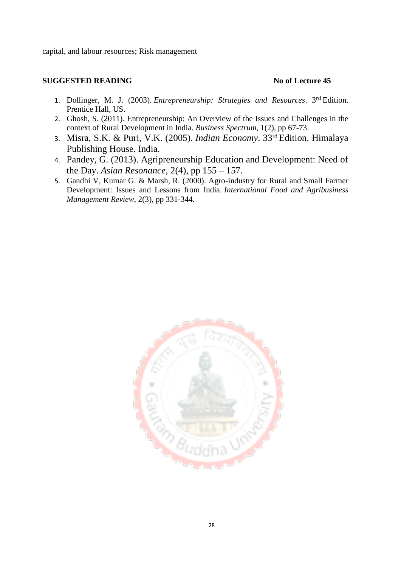capital, and labour resources; Risk management

#### **SUGGESTED READING No of Lecture 45**

- 1. Dollinger, M. J. (2003). *Entrepreneurship: Strategies and Resources*. 3rd Edition. Prentice Hall, US.
- 2. Ghosh, S. (2011). Entrepreneurship: An Overview of the Issues and Challenges in the context of Rural Development in India. *Business Spectrum*, 1(2), pp 67-73.
- 3. Misra, S.K. & Puri, V.K. (2005). *Indian Economy*. 33rd Edition. Himalaya Publishing House. India.
- 4. Pandey, G. (2013). Agripreneurship Education and Development: Need of the Day. *Asian Resonance,* 2(4), pp 155 – 157.
- 5. Gandhi V, Kumar G. & Marsh, R. (2000). Agro-industry for Rural and Small Farmer Development: Issues and Lessons from India. *International Food and Agribusiness Management Review*, 2(3), pp 331-344.

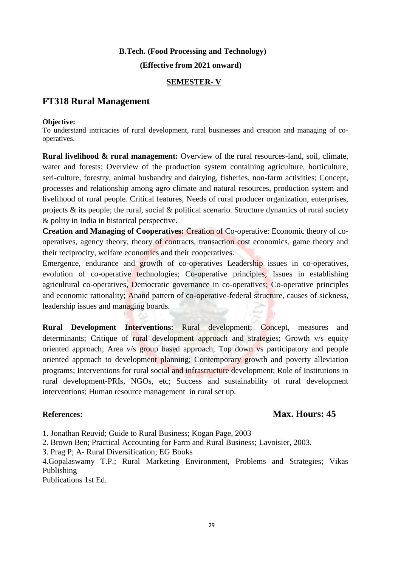#### **B.Tech. (Food Processing and Technology)**

 **(Effective from 2021 onward)**

#### **SEMESTER- V**

# **FT318 Rural Management**

#### **Objective:**

To understand intricacies of rural development, rural businesses and creation and managing of cooperatives.

**Rural livelihood & rural management:** Overview of the rural resources-land, soil, climate, water and forests; Overview of the production system containing agriculture, horticulture, seri-culture, forestry, animal husbandry and dairying, fisheries, non-farm activities; Concept, processes and relationship among agro climate and natural resources, production system and livelihood of rural people. Critical features, Needs of rural producer organization, enterprises, projects & its people; the rural, social & political scenario. Structure dynamics of rural society & polity in India in historical perspective.

**Creation and Managing of Cooperatives:** Creation of Co-operative: Economic theory of cooperatives, agency theory, theory of contracts, transaction cost economics, game theory and their reciprocity, welfare economics and their cooperatives.

Emergence, endurance and growth of co-operatives Leadership issues in co-operatives, evolution of co-operative technologies; Co-operative principles; Issues in establishing agricultural co-operatives, Democratic governance in co-operatives; Co-operative principles and economic rationality; Anand pattern of co-operative-federal structure, causes of sickness, leadership issues and managing boards.

**Rural Development Interventions**: Rural development; Concept, measures and determinants; Critique of rural development approach and strategies; Growth v/s equity oriented approach; Area v/s group based approach; Top down vs participatory and people oriented approach to development planning; Contemporary growth and poverty alleviation programs; Interventions for rural social and infrastructure development; Role of Institutions in rural development-PRIs, NGOs, etc; Success and sustainability of rural development interventions; Human resource management in rural set up.

# **References: Max. Hours: 45**

1. Jonathan Reuvid; Guide to Rural Business; Kogan Page, 2003

2. Brown Ben; Practical Accounting for Farm and Rural Business; Lavoisier, 2003.

3. Prag P; A- Rural Diversification; EG Books

4.Gopalaswamy T.P.; Rural Marketing Environment, Problems and Strategies; Vikas Publishing

Publications 1st Ed.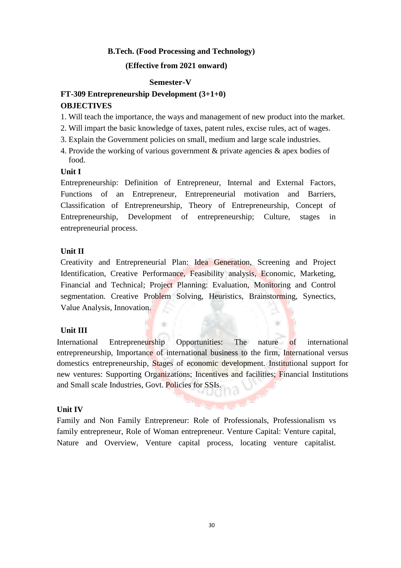#### **B.Tech. (Food Processing and Technology)**

#### **(Effective from 2021 onward)**

#### **Semester-V**

# **FT-309 Entrepreneurship Development (3+1+0) OBJECTIVES**

- 1. Will teach the importance, the ways and management of new product into the market.
- 2. Will impart the basic knowledge of taxes, patent rules, excise rules, act of wages.
- 3. Explain the Government policies on small, medium and large scale industries.
- 4. Provide the working of various government & private agencies & apex bodies of food.

#### **Unit I**

Entrepreneurship: Definition of Entrepreneur, Internal and External Factors, Functions of an Entrepreneur, Entrepreneurial motivation and Barriers, Classification of Entrepreneurship, Theory of Entrepreneurship, Concept of Entrepreneurship, Development of entrepreneurship; Culture, stages in entrepreneurial process.

#### **Unit II**

Creativity and Entrepreneurial Plan: Idea Generation, Screening and Project Identification, Creative Performance, Feasibility analysis, Economic, Marketing, Financial and Technical; Project Planning: Evaluation, Monitoring and Control segmentation. Creative Problem Solving, Heuristics, Brainstorming, Synectics, Value Analysis, Innovation.

#### **Unit III**

International Entrepreneurship Opportunities: The nature of international entrepreneurship, Importance of international business to the firm, International versus domestics entrepreneurship, Stages of economic development. Institutional support for new ventures: Supporting Organizations; Incentives and facilities; Financial Institutions and Small scale Industries, Govt. Policies for SSIs.

#### **Unit IV**

Family and Non Family Entrepreneur: Role of Professionals, Professionalism vs family entrepreneur, Role of Woman entrepreneur. Venture Capital: Venture capital, Nature and Overview, Venture capital process, locating venture capitalist.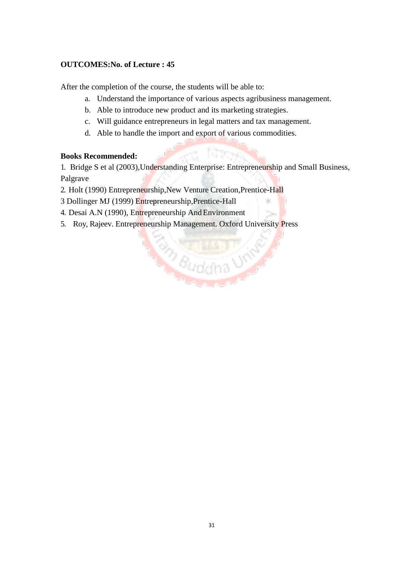# **OUTCOMES:No. of Lecture : 45**

After the completion of the course, the students will be able to:

- a. Understand the importance of various aspects agribusiness management.
- b. Able to introduce new product and its marketing strategies.
- c. Will guidance entrepreneurs in legal matters and tax management.
- d. Able to handle the import and export of various commodities.

# **Books Recommended:**

1. Bridge S et al (2003),Understanding Enterprise: Entrepreneurship and Small Business, Palgrave

**Eudana USA** 

- 2. Holt (1990) Entrepreneurship,New Venture Creation,Prentice-Hall
- 3 Dollinger MJ (1999) Entrepreneurship,Prentice-Hall
- 4. Desai A.N (1990), Entrepreneurship And Environment
- 5. Roy, Rajeev. Entrepreneurship Management. Oxford University Press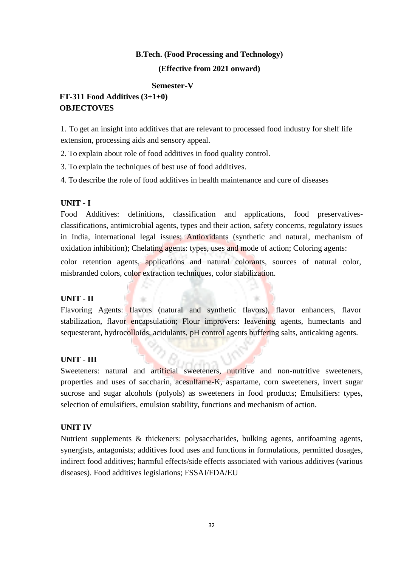#### **B.Tech. (Food Processing and Technology)**

#### **(Effective from 2021 onward)**

#### **Semester-V**

# **FT-311 Food Additives (3+1+0) OBJECTOVES**

1. To get an insight into additives that are relevant to processed food industry for shelf life extension, processing aids and sensory appeal.

2. To explain about role of food additives in food quality control.

3. To explain the techniques of best use of food additives.

4. To describe the role of food additives in health maintenance and cure of diseases

#### **UNIT - I**

Food Additives: definitions, classification and applications, food preservativesclassifications, antimicrobial agents, types and their action, safety concerns, regulatory issues in India, international legal issues; Antioxidants (synthetic and natural, mechanism of oxidation inhibition); Chelating agents: types, uses and mode of action; Coloring agents:

color retention agents, applications and natural colorants, sources of natural color, misbranded colors, color extraction techniques, color stabilization.

# **UNIT - II**

Flavoring Agents: flavors (natural and synthetic flavors), flavor enhancers, flavor stabilization, flavor encapsulation; Flour improvers: leavening agents, humectants and sequesterant, hydrocolloids, acidulants, pH control agents buffering salts, anticaking agents.

# **UNIT - III**

Sweeteners: natural and artificial sweeteners, nutritive and non-nutritive sweeteners, properties and uses of saccharin, acesulfame-K, aspartame, corn sweeteners, invert sugar sucrose and sugar alcohols (polyols) as sweeteners in food products; Emulsifiers: types, selection of emulsifiers, emulsion stability, functions and mechanism of action.

#### **UNIT IV**

Nutrient supplements & thickeners: polysaccharides, bulking agents, antifoaming agents, synergists, antagonists; additives food uses and functions in formulations, permitted dosages, indirect food additives; harmful effects/side effects associated with various additives (various diseases). Food additives legislations; FSSAI/FDA/EU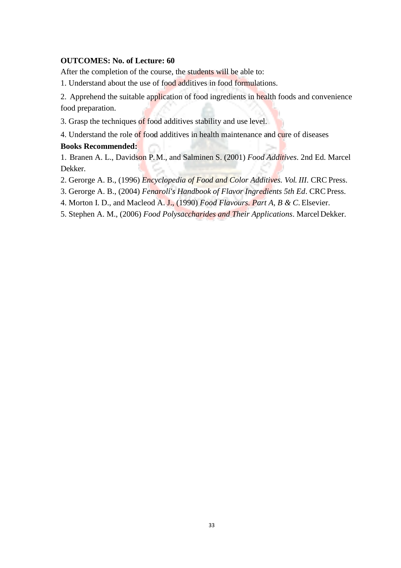#### **OUTCOMES: No. of Lecture: 60**

After the completion of the course, the students will be able to:

1. Understand about the use of food additives in food formulations.

2. Apprehend the suitable application of food ingredients in health foods and convenience food preparation.

3. Grasp the techniques of food additives stability and use level.

4. Understand the role of food additives in health maintenance and cure of diseases

#### **Books Recommended:**

1. Branen A. L., Davidson P. M., and Salminen S. (2001) *Food Additives*. 2nd Ed. Marcel Dekker.

2. Gerorge A. B., (1996) *Encyclopedia of Food and Color Additives. Vol. III*. CRC Press.

- 3. Gerorge A. B., (2004) *Fenaroli's Handbook of Flavor Ingredients 5th Ed*. CRCPress.
- 4. Morton I. D., and Macleod A. J., (1990) *Food Flavours. Part A, B & C*. Elsevier.
- 5. Stephen A. M., (2006) *Food Polysaccharides and Their Applications*. MarcelDekker.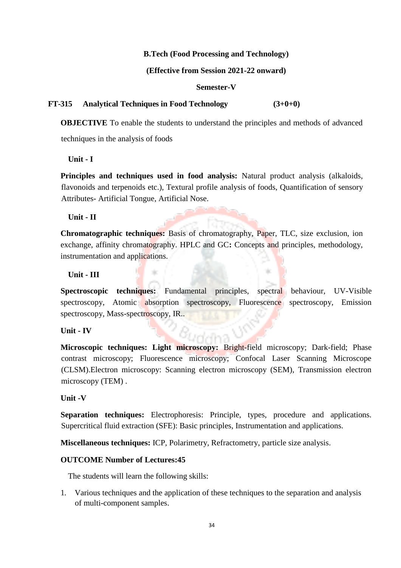#### **B.Tech (Food Processing and Technology)**

#### **(Effective from Session 2021-22 onward)**

#### **Semester-V**

#### **FT-315 Analytical Techniques in Food Technology (3+0+0)**

**OBJECTIVE** To enable the students to understand the principles and methods of advanced techniques in the analysis of foods

**Unit - I**

**Principles and techniques used in food analysis:** Natural product analysis (alkaloids, flavonoids and terpenoids etc.), Textural profile analysis of foods, Quantification of sensory Attributes- Artificial Tongue, Artificial Nose.

**Unit - II**

**Chromatographic techniques:** Basis of chromatography, Paper, TLC, size exclusion, ion exchange, affinity chromatography. HPLC and GC**:** Concepts and principles, methodology, instrumentation and applications.

#### **Unit - III**

**Spectroscopic techniques:** Fundamental principles, spectral behaviour, UV-Visible spectroscopy, Atomic absorption spectroscopy, Fluorescence spectroscopy, Emission spectroscopy, Mass-spectroscopy, IR..

#### **Unit - IV**

Microscopic techniques: Light microscopy: Bright-field microscopy; Dark-field; Phase contrast microscopy; Fluorescence microscopy; Confocal Laser Scanning Microscope (CLSM).Electron microscopy: Scanning electron microscopy (SEM), Transmission electron microscopy (TEM) .

#### **Unit -V**

**Separation techniques:** Electrophoresis: Principle, types, procedure and applications. Supercritical fluid extraction (SFE): Basic principles, Instrumentation and applications.

**Miscellaneous techniques:** ICP, Polarimetry, Refractometry, particle size analysis.

#### **OUTCOME Number of Lectures:45**

The students will learn the following skills:

1. Various techniques and the application of these techniques to the separation and analysis of multi-component samples.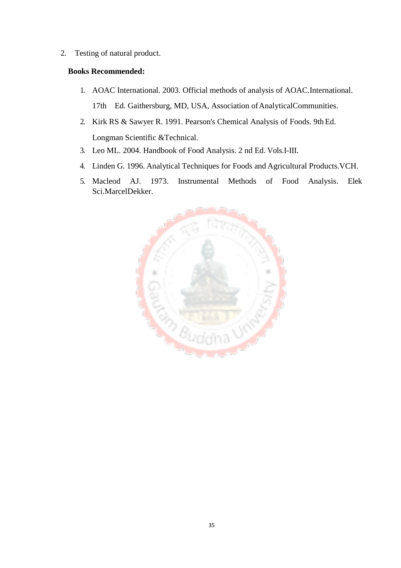2. Testing of natural product.

## **Books Recommended:**

- 1. AOAC International. 2003. Official methods of analysis of AOAC.International. 17th Ed. Gaithersburg, MD, USA, Association of AnalyticalCommunities.
- 2. Kirk RS & Sawyer R. 1991. Pearson's Chemical Analysis of Foods. 9thEd. Longman Scientific &Technical.
- 3. Leo ML. 2004. Handbook of Food Analysis. 2 nd Ed. Vols.I-III.
- 4. Linden G. 1996. Analytical Techniques for Foods and Agricultural Products.VCH.
- 5. Macleod AJ. 1973. Instrumental Methods of Food Analysis. Elek Sci.MarcelDekker.

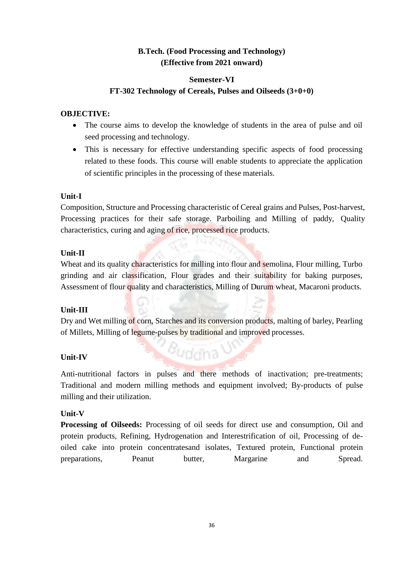# **B.Tech. (Food Processing and Technology) (Effective from 2021 onward)**

# **Semester-VI**

## **FT-302 Technology of Cereals, Pulses and Oilseeds (3+0+0)**

#### **OBJECTIVE:**

- The course aims to develop the knowledge of students in the area of pulse and oil seed processing and technology.
- This is necessary for effective understanding specific aspects of food processing related to these foods. This course will enable students to appreciate the application of scientific principles in the processing of these materials.

#### **Unit-I**

Composition, Structure and Processing characteristic of Cereal grains and Pulses, Post-harvest, Processing practices for their safe storage. Parboiling and Milling of paddy, Quality characteristics, curing and aging of rice, processed rice products.

#### **Unit-II**

Wheat and its quality characteristics for milling into flour and semolina, Flour milling, Turbo grinding and air classification, Flour grades and their suitability for baking purposes, Assessment of flour quality and characteristics, Milling of Durum wheat, Macaroni products.

# **Unit-III**

Dry and Wet milling of corn, Starches and its conversion products, malting of barley, Pearling of Millets, Milling of legume-pulses by traditional and improved processes.

Buddha V

#### **Unit-IV**

Anti-nutritional factors in pulses and there methods of inactivation; pre-treatments; Traditional and modern milling methods and equipment involved; By-products of pulse milling and their utilization.

# **Unit-V**

**Processing of Oilseeds:** Processing of oil seeds for direct use and consumption, Oil and protein products, Refining, Hydrogenation and Interestrification of oil, Processing of deoiled cake into protein concentratesand isolates, Textured protein, Functional protein preparations, Peanut butter, Margarine and Spread.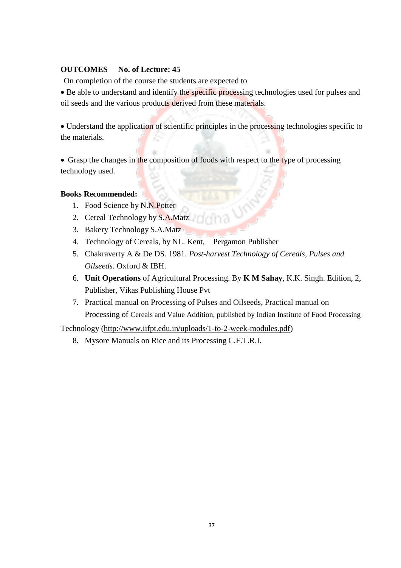# **OUTCOMES No. of Lecture: 45**

On completion of the course the students are expected to

• Be able to understand and identify the specific processing technologies used for pulses and oil seeds and the various products derived from these materials.

• Understand the application of scientific principles in the processing technologies specific to the materials.

• Grasp the changes in the composition of foods with respect to the type of processing technology used.

#### **Books Recommended:**

- 1. Food Science by N.N.Potter
- 2. Cereal Technology by S.A.Matz
- 3. Bakery Technology S.A.Matz
- 4. Technology of Cereals, by NL. Kent, Pergamon Publisher
- 5. Chakraverty A & De DS. 1981. *Post-harvest Technology of Cereals, Pulses and Oilseeds*. Oxford & IBH.
- 6. **Unit Operations** of Agricultural Processing. By **K M Sahay**, K.K. Singh. Edition, 2, Publisher, Vikas Publishing House Pvt
- 7. Practical manual on Processing of Pulses and Oilseeds, Practical manual on Processing of Cereals and Value Addition, published by Indian Institute of Food Processing

Technology [\(http://www.iifpt.edu.in/uploads/1-to-2-week-modules.pdf\)](http://www.iifpt.edu.in/uploads/1-to-2-week-modules.pdf)

8. Mysore Manuals on Rice and its Processing C.F.T.R.I.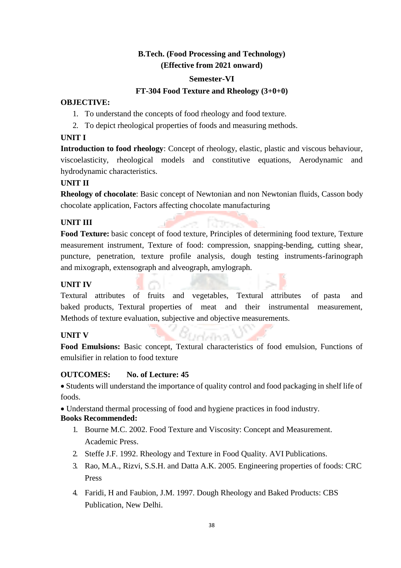# **B.Tech. (Food Processing and Technology) (Effective from 2021 onward)**

#### **Semester-VI**

#### **FT-304 Food Texture and Rheology (3+0+0)**

#### **OBJECTIVE:**

- 1. To understand the concepts of food rheology and food texture.
- 2. To depict rheological properties of foods and measuring methods.

## **UNIT I**

**Introduction to food rheology**: Concept of rheology, elastic, plastic and viscous behaviour, viscoelasticity, rheological models and constitutive equations, Aerodynamic and hydrodynamic characteristics.

#### **UNIT II**

**Rheology of chocolate**: Basic concept of Newtonian and non Newtonian fluids, Casson body chocolate application, Factors affecting chocolate manufacturing

# **UNIT III**

**Food Texture:** basic concept of food texture, Principles of determining food texture, Texture measurement instrument, Texture of food: compression, snapping-bending, cutting shear, puncture, penetration, texture profile analysis, dough testing instruments-farinograph and mixograph, extensograph and alveograph, amylograph.

## **UNIT IV**

Textural attributes of fruits and vegetables, Textural attributes of pasta and baked products, Textural properties of meat and their instrumental measurement, Methods of texture evaluation, subjective and objective measurements.

#### **UNIT V**

**Food Emulsions:** Basic concept, Textural characteristics of food emulsion, Functions of emulsifier in relation to food texture

relation

#### **OUTCOMES: No. of Lecture: 45**

 Students will understand the importance of quality control and food packaging in shelf life of foods.

Understand thermal processing of food and hygiene practices in food industry.

# **Books Recommended:**

- 1. Bourne M.C. 2002. Food Texture and Viscosity: Concept and Measurement. Academic Press.
- 2. Steffe J.F. 1992. Rheology and Texture in Food Quality. AVI Publications.
- 3. Rao, M.A., Rizvi, S.S.H. and Datta A.K. 2005. Engineering properties of foods: CRC Press
- 4. Faridi, H and Faubion, J.M. 1997. Dough Rheology and Baked Products: CBS Publication, New Delhi.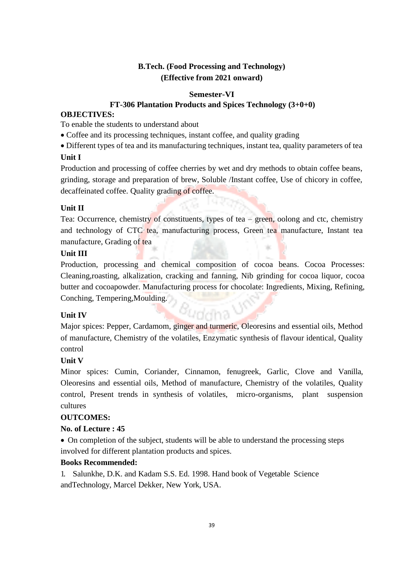# **B.Tech. (Food Processing and Technology) (Effective from 2021 onward)**

# **Semester-VI**

## **FT-306 Plantation Products and Spices Technology (3+0+0)**

#### **OBJECTIVES:**

To enable the students to understand about

- Coffee and its processing techniques, instant coffee, and quality grading
- Different types of tea and its manufacturing techniques, instant tea, quality parameters of tea

#### **Unit I**

Production and processing of coffee cherries by wet and dry methods to obtain coffee beans, grinding, storage and preparation of brew, Soluble /Instant coffee, Use of chicory in coffee, decaffeinated coffee. Quality grading of coffee.

#### **Unit II**

Tea: Occurrence, chemistry of constituents, types of tea – green, oolong and ctc, chemistry and technology of CTC tea, manufacturing process, Green tea manufacture, Instant tea manufacture, Grading of tea

#### **Unit III**

Production, processing and chemical composition of cocoa beans. Cocoa Processes: Cleaning,roasting, alkalization, cracking and fanning, Nib grinding for cocoa liquor, cocoa butter and cocoapowder. Manufacturing process for chocolate: Ingredients, Mixing, Refining, Conching, Tempering,Moulding.

#### **Unit IV**

Major spices: Pepper, Cardamom, ginger and turmeric, Oleoresins and essential oils, Method of manufacture, Chemistry of the volatiles, Enzymatic synthesis of flavour identical, Quality control

<sup>8</sup>uddha

#### **Unit V**

Minor spices: Cumin, Coriander, Cinnamon, fenugreek, Garlic, Clove and Vanilla, Oleoresins and essential oils, Method of manufacture, Chemistry of the volatiles, Quality control, Present trends in synthesis of volatiles, micro-organisms, plant suspension cultures

#### **OUTCOMES:**

#### **No. of Lecture : 45**

• On completion of the subject, students will be able to understand the processing steps involved for different plantation products and spices.

#### **Books Recommended:**

1. Salunkhe, D.K. and Kadam S.S. Ed. 1998. Hand book of Vegetable Science andTechnology, Marcel Dekker, New York, USA.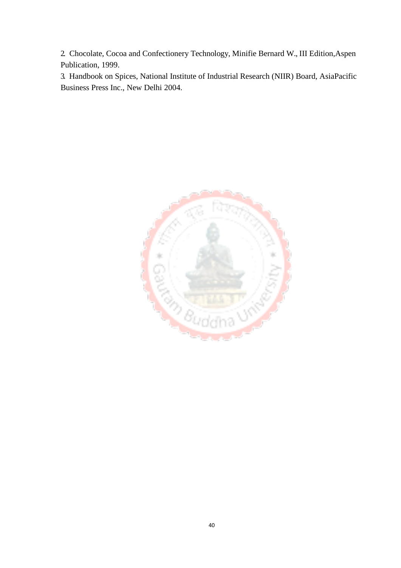2. Chocolate, Cocoa and Confectionery Technology, Minifie Bernard W., III Edition,Aspen Publication, 1999.

3. Handbook on Spices, National Institute of Industrial Research (NIIR) Board, AsiaPacific Business Press Inc., New Delhi 2004.

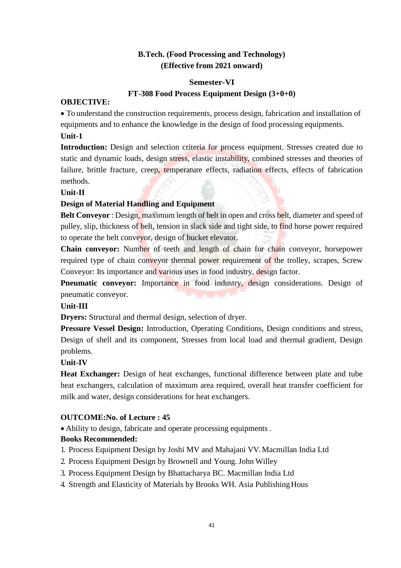# **B.Tech. (Food Processing and Technology) (Effective from 2021 onward)**

#### **Semester-VI**

# **FT-308 Food Process Equipment Design (3+0+0)**

#### **OBJECTIVE:**

 To understand the construction requirements, process design, fabrication and installation of equipments and to enhance the knowledge in the design of food processing equipments.

## **Unit-1**

**Introduction:** Design and selection criteria for process equipment. Stresses created due to static and dynamic loads, design stress, elastic instability, combined stresses and theories of failure, brittle fracture, creep, temperature effects, radiation effects, effects of fabrication methods.

#### **Unit-II**

# **Design of Material Handling and Equipment**

**Belt Conveyor** : Design, maximum length of belt in open and cross belt, diameter and speed of pulley, slip, thickness of belt, tension in slack side and tight side, to find horse power required to operate the belt conveyor, design of bucket elevator.

**Chain conveyor:** Number of teeth and length of chain for chain conveyor, horsepower required type of chain conveyor thermal power requirement of the trolley, scrapes, Screw Conveyor: Its importance and various uses in food industry, design factor.

**Pneumatic conveyor:** Importance in food industry, design considerations. Design of pneumatic conveyor.

# **Unit-III**

**Dryers:** Structural and thermal design, selection of dryer.

Pressure Vessel Design: Introduction, Operating Conditions, Design conditions and stress, Design of shell and its component, Stresses from local load and thermal gradient, Design problems.

# **Unit-IV**

Heat Exchanger: Design of heat exchanges, functional difference between plate and tube heat exchangers, calculation of maximum area required, overall heat transfer coefficient for milk and water, design considerations for heat exchangers.

# **OUTCOME:No. of Lecture : 45**

Ability to design, fabricate and operate processing equipments .

#### **Books Recommended:**

1. Process Equipment Design by Joshi MV and Mahajani VV. Macmillan India Ltd

- 2. Process Equipment Design by Brownell and Young. John Willey
- 3. Process Equipment Design by Bhattacharya BC. Macmillan India Ltd
- 4. Strength and Elasticity of Materials by Brooks WH. Asia PublishingHous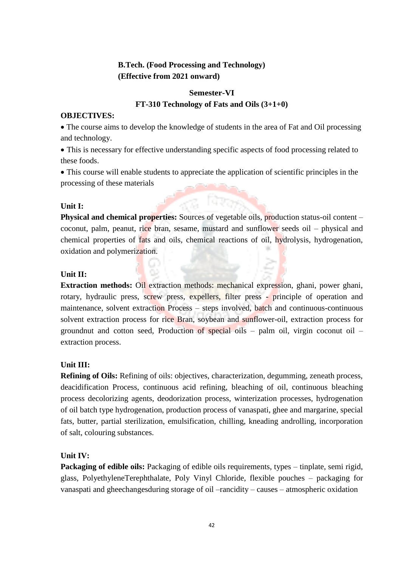# **B.Tech. (Food Processing and Technology) (Effective from 2021 onward)**

# **Semester-VI FT-310 Technology of Fats and Oils (3+1+0)**

#### **OBJECTIVES:**

 The course aims to develop the knowledge of students in the area of Fat and Oil processing and technology.

 This is necessary for effective understanding specific aspects of food processing related to these foods.

 This course will enable students to appreciate the application of scientific principles in the processing of these materials

#### **Unit I:**

**Physical and chemical properties:** Sources of vegetable oils, production status-oil content – coconut, palm, peanut, rice bran, sesame, mustard and sunflower seeds oil – physical and chemical properties of fats and oils, chemical reactions of oil, hydrolysis, hydrogenation, oxidation and polymerization.

#### **Unit II:**

**Extraction methods:** Oil extraction methods: mechanical expression, ghani, power ghani, rotary, hydraulic press, screw press, expellers, filter press - principle of operation and maintenance, solvent extraction Process – steps involved, batch and continuous-continuous solvent extraction process for rice Bran, soybean and sunflower-oil, extraction process for groundnut and cotton seed, Production of special oils – palm oil, virgin coconut oil – extraction process.

# **Unit III:**

**Refining of Oils:** Refining of oils: objectives, characterization, degumming, zeneath process, deacidification Process, continuous acid refining, bleaching of oil, continuous bleaching process decolorizing agents, deodorization process, winterization processes, hydrogenation of oil batch type hydrogenation, production process of vanaspati, ghee and margarine, special fats, butter, partial sterilization, emulsification, chilling, kneading androlling, incorporation of salt, colouring substances.

# **Unit IV:**

Packaging of edible oils: Packaging of edible oils requirements, types – tinplate, semi rigid, glass, PolyethyleneTerephthalate, Poly Vinyl Chloride, flexible pouches – packaging for vanaspati and gheechangesduring storage of oil –rancidity – causes – atmospheric oxidation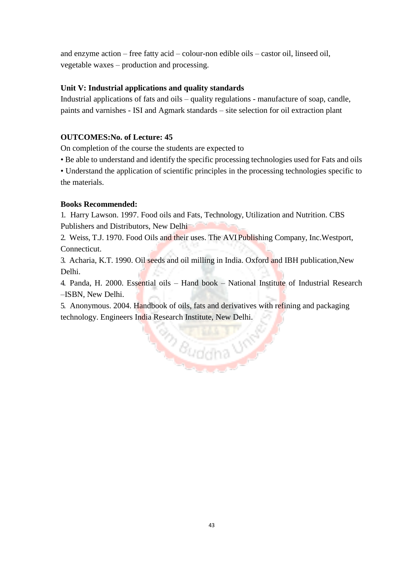and enzyme action – free fatty acid – colour-non edible oils – castor oil, linseed oil, vegetable waxes – production and processing.

# **Unit V: Industrial applications and quality standards**

Industrial applications of fats and oils – quality regulations - manufacture of soap, candle, paints and varnishes - ISI and Agmark standards – site selection for oil extraction plant

# **OUTCOMES:No. of Lecture: 45**

On completion of the course the students are expected to

• Be able to understand and identify the specific processing technologies used for Fats and oils

• Understand the application of scientific principles in the processing technologies specific to the materials.

# **Books Recommended:**

1. Harry Lawson. 1997. Food oils and Fats, Technology, Utilization and Nutrition. CBS Publishers and Distributors, New Delhi

2. Weiss, T.J. 1970. Food Oils and their uses. The AVI Publishing Company, Inc.Westport, Connecticut.

3. Acharia, K.T. 1990. Oil seeds and oil milling in India. Oxford and IBH publication,New Delhi.

4. Panda, H. 2000. Essential oils – Hand book – National Institute of Industrial Research –ISBN, New Delhi.

5. Anonymous. 2004. Handbook of oils, fats and derivatives with refining and packaging technology. Engineers India Research Institute, New Delhi.

Buddha UN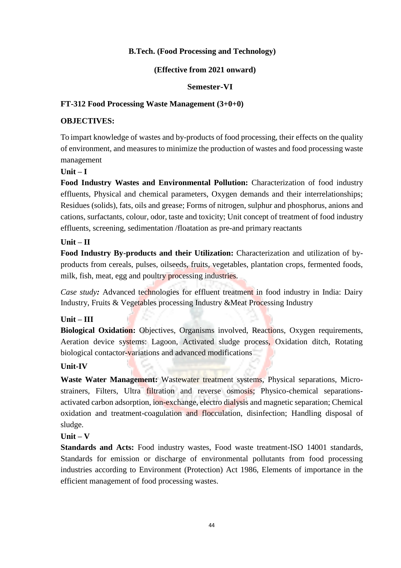# **B.Tech. (Food Processing and Technology)**

#### **(Effective from 2021 onward)**

#### **Semester-VI**

## **FT-312 Food Processing Waste Management (3+0+0)**

#### **OBJECTIVES:**

To impart knowledge of wastes and by-products of food processing, their effects on the quality of environment, and measures to minimize the production of wastes and food processing waste management

## **Unit – I**

**Food Industry Wastes and Environmental Pollution:** Characterization of food industry effluents, Physical and chemical parameters, Oxygen demands and their interrelationships; Residues (solids), fats, oils and grease; Forms of nitrogen, sulphur and phosphorus, anions and cations, surfactants, colour, odor, taste and toxicity; Unit concept of treatment of food industry effluents, screening, sedimentation /floatation as pre-and primary reactants

#### **Unit – II**

**Food Industry By-products and their Utilization:** Characterization and utilization of byproducts from cereals, pulses, oilseeds, fruits, vegetables, plantation crops, fermented foods, milk, fish, meat, egg and poultry processing industries.

*Case study*: Advanced technologies for effluent treatment in food industry in India: Dairy Industry, Fruits & Vegetables processing Industry &Meat Processing Industry

# **Unit – III**

**Biological Oxidation:** Objectives, Organisms involved, Reactions, Oxygen requirements, Aeration device systems: Lagoon, Activated sludge process, Oxidation ditch, Rotating biological contactor-variations and advanced modifications

#### **Unit-IV**

**Waste Water Management:** Wastewater treatment systems, Physical separations, Microstrainers, Filters, Ultra filtration and reverse osmosis; Physico-chemical separationsactivated carbon adsorption, ion-exchange, electro dialysis and magnetic separation; Chemical oxidation and treatment-coagulation and flocculation, disinfection; Handling disposal of sludge.

# **Unit – V**

**Standards and Acts:** Food industry wastes, Food waste treatment-ISO 14001 standards, Standards for emission or discharge of environmental pollutants from food processing industries according to Environment (Protection) Act 1986, Elements of importance in the efficient management of food processing wastes.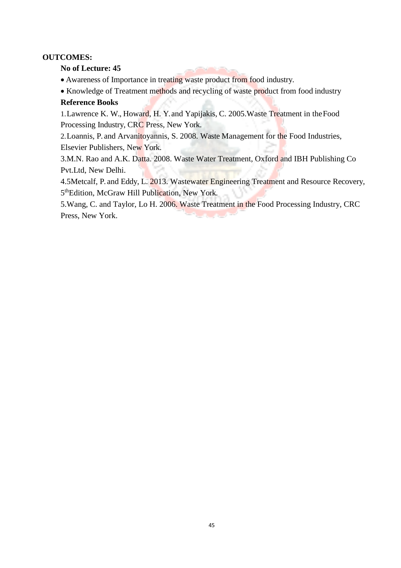## **OUTCOMES:**

#### **No of Lecture: 45**

- Awareness of Importance in treating waste product from food industry.
- Knowledge of Treatment methods and recycling of waste product from food industry **Reference Books**

# 1.Lawrence K. W., Howard, H. Y. and Yapijakis, C. 2005.Waste Treatment in theFood Processing Industry, CRC Press, New York.

2.Loannis, P. and Arvanitoyannis, S. 2008. Waste Management for the Food Industries, Elsevier Publishers, New York.

3.M.N. Rao and A.K. Datta. 2008. Waste Water Treatment, Oxford and IBH Publishing Co Pvt.Ltd, New Delhi.

4.5Metcalf, P. and Eddy, L. 2013. Wastewater Engineering Treatment and Resource Recovery, 5<sup>th</sup>Edition, McGraw Hill Publication, New York.

5.Wang, C. and Taylor, Lo H. 2006. Waste Treatment in the Food Processing Industry, CRC Press, New York.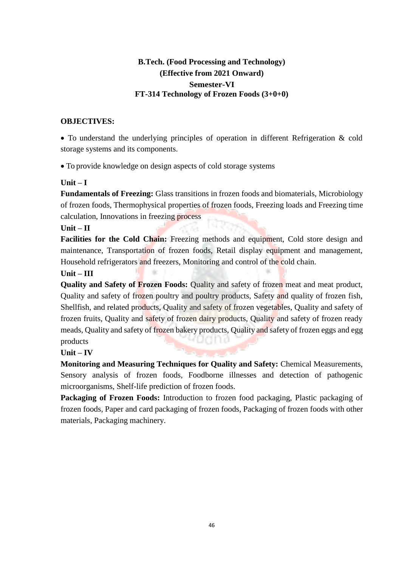# **B.Tech. (Food Processing and Technology) (Effective from 2021 Onward) Semester-VI FT-314 Technology of Frozen Foods (3+0+0)**

# **OBJECTIVES:**

 To understand the underlying principles of operation in different Refrigeration & cold storage systems and its components.

To provide knowledge on design aspects of cold storage systems

# **Unit – I**

**Fundamentals of Freezing:** Glass transitions in frozen foods and biomaterials, Microbiology of frozen foods, Thermophysical properties of frozen foods, Freezing loads and Freezing time calculation, Innovations in freezing process

# **Unit – II**

Facilities for the Cold Chain: Freezing methods and equipment, Cold store design and maintenance, Transportation of frozen foods, Retail display equipment and management, Household refrigerators and freezers, Monitoring and control of the cold chain.

# **Unit – III**

**Quality and Safety of Frozen Foods:** Quality and safety of frozen meat and meat product, Quality and safety of frozen poultry and poultry products, Safety and quality of frozen fish, Shellfish, and related products, Quality and safety of frozen vegetables, Quality and safety of frozen fruits, Quality and safety of frozen dairy products, Quality and safety of frozen ready meads, Quality and safety of frozen bakery products, Quality and safety of frozen eggs and egg products

# **Unit – IV**

**Monitoring and Measuring Techniques for Quality and Safety:** Chemical Measurements, Sensory analysis of frozen foods, Foodborne illnesses and detection of pathogenic microorganisms, Shelf-life prediction of frozen foods.

**Packaging of Frozen Foods:** Introduction to frozen food packaging, Plastic packaging of frozen foods, Paper and card packaging of frozen foods, Packaging of frozen foods with other materials, Packaging machinery.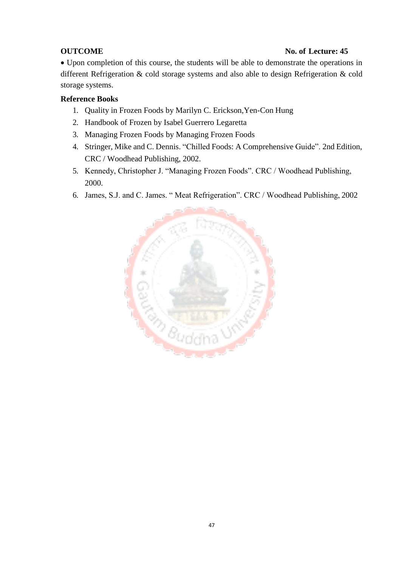# **OUTCOME** No. of Lecture: 45

 Upon completion of this course, the students will be able to demonstrate the operations in different Refrigeration & cold storage systems and also able to design Refrigeration & cold storage systems.

# **Reference Books**

- 1. Quality in Frozen Foods by Marilyn C. Erickson,Yen-Con Hung
- 2. Handbook of Frozen by Isabel Guerrero Legaretta
- 3. Managing Frozen Foods by Managing Frozen Foods
- 4. Stringer, Mike and C. Dennis. "Chilled Foods: A Comprehensive Guide". 2nd Edition, CRC / Woodhead Publishing, 2002.
- 5. Kennedy, Christopher J. "Managing Frozen Foods". CRC / Woodhead Publishing, 2000.
- 6. James, S.J. and C. James. " Meat Refrigeration". CRC / Woodhead Publishing, 2002

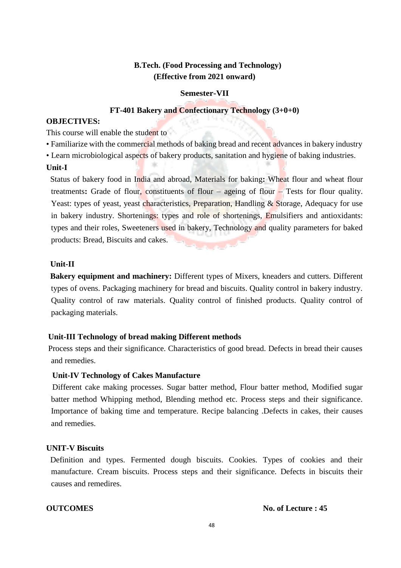# **B.Tech. (Food Processing and Technology) (Effective from 2021 onward)**

## **Semester-VII**

#### **FT-401 Bakery and Confectionary Technology (3+0+0)**

#### **OBJECTIVES:**

This course will enable the student to

- Familiarize with the commercial methods of baking bread and recent advances in bakery industry
- Learn microbiological aspects of bakery products, sanitation and hygiene of baking industries.

#### **Unit-I**

Status of bakery food in India and abroad, Materials for baking**:** Wheat flour and wheat flour treatments**:** Grade of flour, constituents of flour – ageing of flour – Tests for flour quality. Yeast: types of yeast, yeast characteristics, Preparation, Handling & Storage, Adequacy for use in bakery industry. Shortenings: types and role of shortenings, Emulsifiers and antioxidants: types and their roles, Sweeteners used in bakery, Technology and quality parameters for baked products: Bread, Biscuits and cakes.

#### **Unit-II**

 **Bakery equipment and machinery:** Different types of Mixers, kneaders and cutters. Different types of ovens. Packaging machinery for bread and biscuits. Quality control in bakery industry. Quality control of raw materials. Quality control of finished products. Quality control of packaging materials.

# **Unit-III Technology of bread making Different methods**

Process steps and their significance. Characteristics of good bread. Defects in bread their causes and remedies.

# **Unit-IV Technology of Cakes Manufacture**

 Different cake making processes. Sugar batter method, Flour batter method, Modified sugar batter method Whipping method, Blending method etc. Process steps and their significance. Importance of baking time and temperature. Recipe balancing .Defects in cakes, their causes and remedies.

## **UNIT-V Biscuits**

Definition and types. Fermented dough biscuits. Cookies. Types of cookies and their manufacture. Cream biscuits. Process steps and their significance. Defects in biscuits their causes and remedires.

**OUTCOMES** No. of Lecture : 45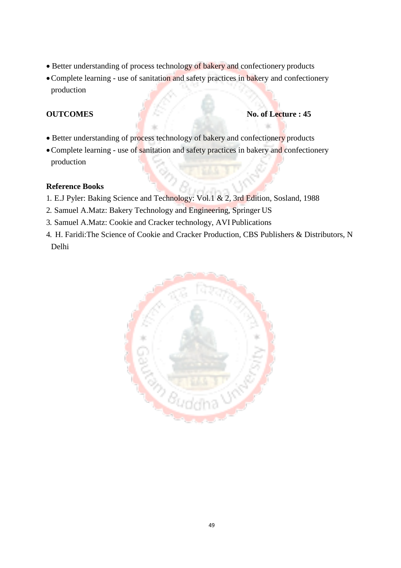- Better understanding of process technology of bakery and confectionery products
- Complete learning use of sanitation and safety practices in bakery and confectionery production

#### **OUTCOMES** No. of Lecture : 45

- Better understanding of process technology of bakery and confectionery products
- Complete learning use of sanitation and safety practices in bakery and confectionery production

#### **Reference Books**

- 1. E.J Pyler: Baking Science and Technology: Vol.1 & 2, 3rd Edition, Sosland, 1988
- 2. Samuel A.Matz: Bakery Technology and Engineering, Springer US
- 3. Samuel A.Matz: Cookie and Cracker technology, AVI Publications
- 4. H. Faridi:The Science of Cookie and Cracker Production, CBS Publishers & Distributors, N Delhi

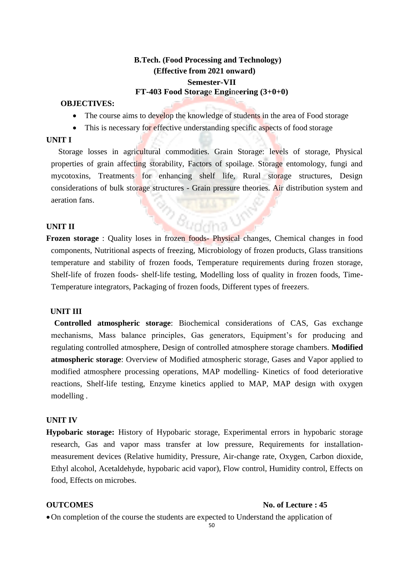# **B.Tech. (Food Processing and Technology) (Effective from 2021 onward) Semester-VII FT-403 Food Storag**e **Engi**ne**ering (3+0+0)**

#### **OBJECTIVES:**

- The course aims to develop the knowledge of students in the area of Food storage
- This is necessary for effective understanding specific aspects of food storage

#### **UNIT I**

Storage losses in agricultural commodities. Grain Storage: levels of storage, Physical properties of grain affecting storability, Factors of spoilage. Storage entomology, fungi and mycotoxins, Treatments for enhancing shelf life, Rural storage structures, Design considerations of bulk storage structures - Grain pressure theories. Air distribution system and aeration fans.

#### **UNIT II**

**Frozen storage** : Quality loses in frozen foods- Physical changes, Chemical changes in food components, Nutritional aspects of freezing, Microbiology of frozen products, Glass transitions temperature and stability of frozen foods, Temperature requirements during frozen storage, Shelf-life of frozen foods- shelf-life testing, Modelling loss of quality in frozen foods, Time-Temperature integrators, Packaging of frozen foods, Different types of freezers.

 $\frac{2}{3}$   $\theta_{\text{uddha}}$ 

#### **UNIT III**

**Controlled atmospheric storage**: Biochemical considerations of CAS, Gas exchange mechanisms, Mass balance principles, Gas generators, Equipment's for producing and regulating controlled atmosphere, Design of controlled atmosphere storage chambers. **Modified atmospheric storage**: Overview of Modified atmospheric storage, Gases and Vapor applied to modified atmosphere processing operations, MAP modelling- Kinetics of food deteriorative reactions, Shelf-life testing, Enzyme kinetics applied to MAP, MAP design with oxygen modelling .

#### **UNIT IV**

**Hypobaric storage:** History of Hypobaric storage, Experimental errors in hypobaric storage research, Gas and vapor mass transfer at low pressure, Requirements for installationmeasurement devices (Relative humidity, Pressure, Air-change rate, Oxygen, Carbon dioxide, Ethyl alcohol, Acetaldehyde, hypobaric acid vapor), Flow control, Humidity control, Effects on food, Effects on microbes.

#### **OUTCOMES** No. of Lecture : 45

On completion of the course the students are expected to Understand the application of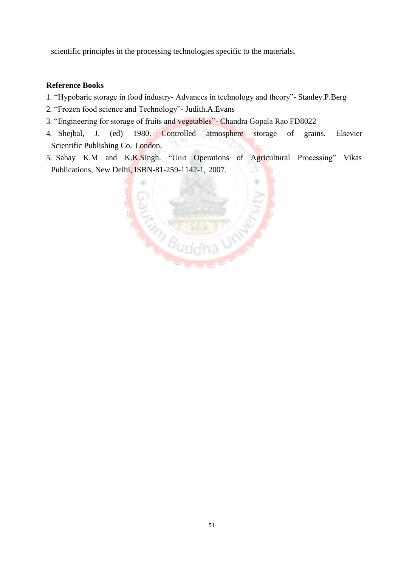scientific principles in the processing technologies specific to the materials**.**

## **Reference Books**

- 1. "Hypobaric storage in food industry- Advances in technology and theory"- Stanley.P.Berg
- 2. "Frozen food science and Technology"- Judith.A.Evans
- 3. "Engineering for storage of fruits and vegetables"- Chandra Gopala Rao FD8022
- 4. Shejbal, J. (ed) 1980. Controlled atmosphere storage of grains. Elsevier Scientific Publishing Co. London.
- 5. Sahay K.M and K.K.Singh. "Unit Operations of Agricultural Processing" Vikas Publications, New Delhi, ISBN-81-259-1142-1, 2007.

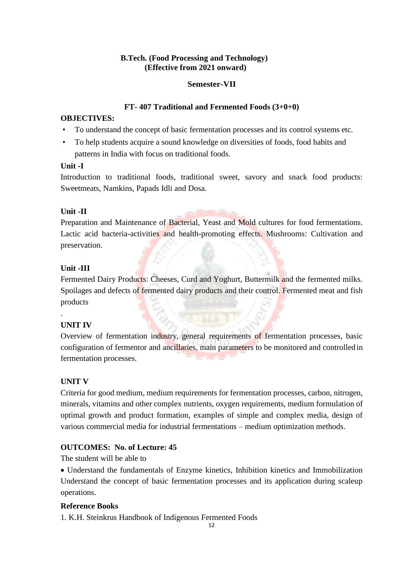# **B.Tech. (Food Processing and Technology) (Effective from 2021 onward)**

# **Semester-VII**

#### **FT- 407 Traditional and Fermented Foods (3+0+0)**

#### **OBJECTIVES:**

- To understand the concept of basic fermentation processes and its control systems etc.
- To help students acquire a sound knowledge on diversities of foods, food habits and patterns in India with focus on traditional foods.

# **Unit -I**

Introduction to traditional foods, traditional sweet, savory and snack food products: Sweetmeats, Namkins, Papads Idli and Dosa.

# **Unit -II**

Preparation and Maintenance of Bacterial, Yeast and Mold cultures for food fermentations. Lactic acid bacteria-activities and health-promoting effects. Mushrooms: Cultivation and preservation.

# **Unit -III**

Fermented Dairy Products: Cheeses, Curd and Yoghurt, Buttermilk and the fermented milks. Spoilages and defects of fermented dairy products and their control. Fermented meat and fish products

# **UNIT IV**

.

Overview of fermentation industry, general requirements of fermentation processes, basic configuration of fermentor and ancillaries, main parameters to be monitored and controlled in fermentation processes.

# **UNIT V**

Criteria for good medium, medium requirements for fermentation processes, carbon, nitrogen, minerals, vitamins and other complex nutrients, oxygen requirements, medium formulation of optimal growth and product formation, examples of simple and complex media, design of various commercial media for industrial fermentations – medium optimization methods.

# **OUTCOMES: No. of Lecture: 45**

The student will be able to

 Understand the fundamentals of Enzyme kinetics, Inhibition kinetics and Immobilization Understand the concept of basic fermentation processes and its application during scaleup operations.

# **Reference Books**

1. K.H. Steinkrus Handbook of Indigenous Fermented Foods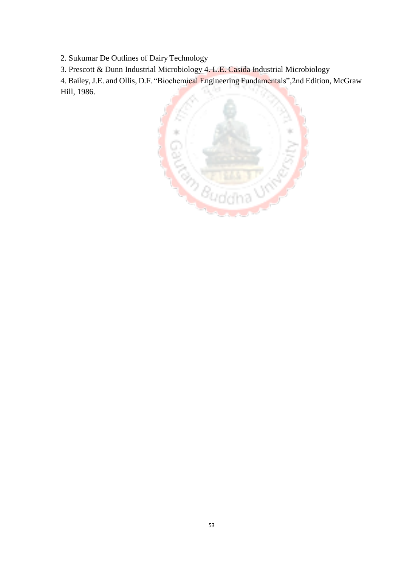2. Sukumar De Outlines of Dairy Technology

3. Prescott & Dunn Industrial Microbiology 4. L.E. Casida Industrial Microbiology

4. Bailey,J.E. and Ollis, D.F. "Biochemical Engineering Fundamentals",2nd Edition, McGraw Hill, 1986.

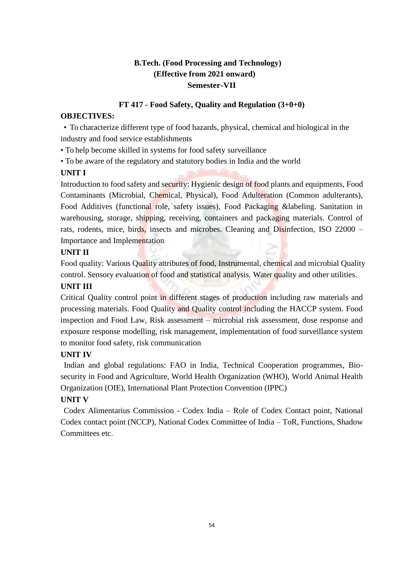# **B.Tech. (Food Processing and Technology) (Effective from 2021 onward) Semester-VII**

# **FT 417 - Food Safety, Quality and Regulation (3+0+0)**

# **OBJECTIVES:**

• To characterize different type of food hazards, physical, chemical and biological in the industry and food service establishments

• To help become skilled in systems for food safety surveillance

• To be aware of the regulatory and statutory bodies in India and the world

# **UNIT I**

Introduction to food safety and security: Hygienic design of food plants and equipments, Food Contaminants (Microbial, Chemical, Physical), Food Adulteration (Common adulterants), Food Additives (functional role, safety issues), Food Packaging &labeling. Sanitation in warehousing, storage, shipping, receiving, containers and packaging materials. Control of rats, rodents, mice, birds, insects and microbes. Cleaning and Disinfection, ISO 22000 – Importance and Implementation

# **UNIT II**

Food quality: Various Quality attributes of food, Instrumental, chemical and microbial Quality control. Sensory evaluation of food and statistical analysis. Water quality and other utilities.

# **UNIT III**

Critical Quality control point in different stages of production including raw materials and processing materials. Food Quality and Quality control including the HACCP system. Food inspection and Food Law, Risk assessment – microbial risk assessment, dose response and exposure response modelling, risk management, implementation of food surveillance system to monitor food safety, risk communication

# **UNIT IV**

Indian and global regulations: FAO in India, Technical Cooperation programmes, Biosecurity in Food and Agriculture, World Health Organization (WHO), World Animal Health Organization (OIE), International Plant Protection Convention (IPPC)

# **UNIT V**

Codex Alimentarius Commission - Codex India – Role of Codex Contact point, National Codex contact point (NCCP), National Codex Committee of India – ToR, Functions, Shadow Committees etc.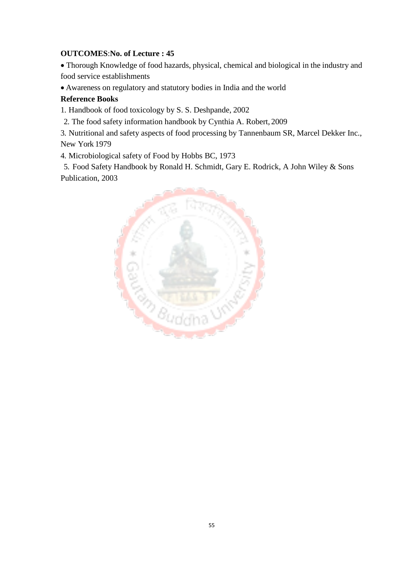# **OUTCOMES**:**No. of Lecture : 45**

 Thorough Knowledge of food hazards, physical, chemical and biological in the industry and food service establishments

Awareness on regulatory and statutory bodies in India and the world

# **Reference Books**

1. Handbook of food toxicology by S. S. Deshpande, 2002

2. The food safety information handbook by Cynthia A. Robert, 2009

3. Nutritional and safety aspects of food processing by Tannenbaum SR, Marcel Dekker Inc., New York 1979

4. Microbiological safety of Food by Hobbs BC, 1973

5. Food Safety Handbook by Ronald H. Schmidt, Gary E. Rodrick, A John Wiley & Sons Publication, 2003

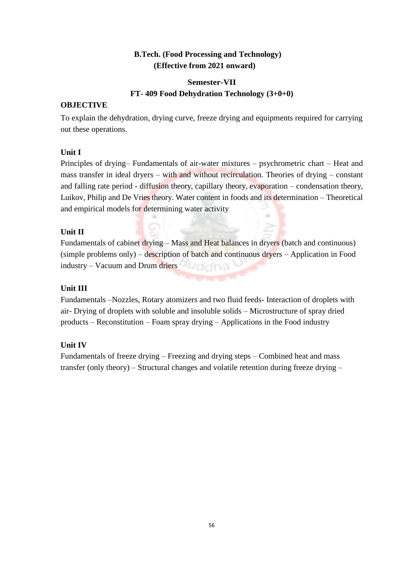# **B.Tech. (Food Processing and Technology) (Effective from 2021 onward)**

# **Semester-VII FT- 409 Food Dehydration Technology (3+0+0)**

# **OBJECTIVE**

To explain the dehydration, drying curve, freeze drying and equipments required for carrying out these operations.

# **Unit I**

Principles of drying– Fundamentals of air-water mixtures – psychrometric chart – Heat and mass transfer in ideal dryers – with and without recirculation. Theories of drying – constant and falling rate period - diffusion theory, capillary theory, evaporation – condensation theory, Luikov, Philip and De Vries theory. Water content in foods and its determination – Theoretical and empirical models for determining water activity

# **Unit II**

Fundamentals of cabinet drying – Mass and Heat balances in dryers (batch and continuous) (simple problems only) – description of batch and continuous dryers – Application in Food industry – Vacuum and Drum driers **Languary and Alexander** 

# **Unit III**

Fundamentals –Nozzles, Rotary atomizers and two fluid feeds- Interaction of droplets with air- Drying of droplets with soluble and insoluble solids – Microstructure of spray dried products – Reconstitution – Foam spray drying – Applications in the Food industry

# **Unit IV**

Fundamentals of freeze drying – Freezing and drying steps – Combined heat and mass transfer (only theory) – Structural changes and volatile retention during freeze drying –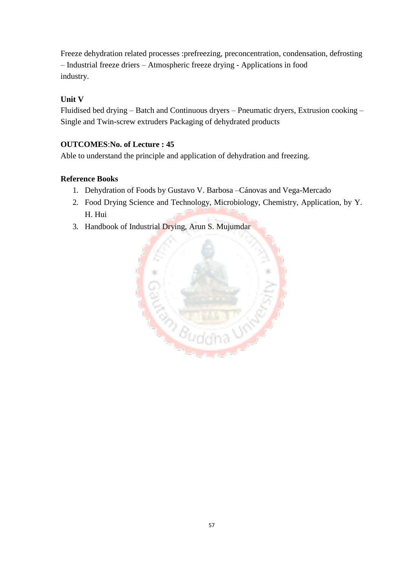Freeze dehydration related processes :prefreezing, preconcentration, condensation, defrosting – Industrial freeze driers – Atmospheric freeze drying - Applications in food industry.

# **Unit V**

Fluidised bed drying – Batch and Continuous dryers – Pneumatic dryers, Extrusion cooking – Single and Twin-screw extruders Packaging of dehydrated products

# **OUTCOMES**:**No. of Lecture : 45**

Able to understand the principle and application of dehydration and freezing.

# **Reference Books**

- 1. Dehydration of Foods by Gustavo V. Barbosa –Cánovas and Vega-Mercado
- 2. Food Drying Science and Technology, Microbiology, Chemistry, Application, by Y. H. Hui
- 3. Handbook of Industrial Drying, Arun S. Mujumdar

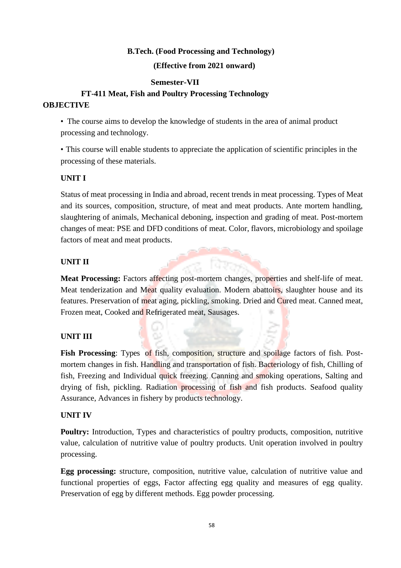#### **B.Tech. (Food Processing and Technology)**

#### **(Effective from 2021 onward)**

#### **Semester-VII**

# **FT-411 Meat, Fish and Poultry Processing Technology OBJECTIVE**

• The course aims to develop the knowledge of students in the area of animal product processing and technology.

• This course will enable students to appreciate the application of scientific principles in the processing of these materials.

#### **UNIT I**

Status of meat processing in India and abroad, recent trends in meat processing. Types of Meat and its sources, composition, structure, of meat and meat products. Ante mortem handling, slaughtering of animals, Mechanical deboning, inspection and grading of meat. Post-mortem changes of meat: PSE and DFD conditions of meat. Color, flavors, microbiology and spoilage factors of meat and meat products.

#### **UNIT II**

**Meat Processing:** Factors affecting post-mortem changes, properties and shelf-life of meat. Meat tenderization and Meat quality evaluation. Modern abattoirs, slaughter house and its features. Preservation of meat aging, pickling, smoking. Dried and Cured meat. Canned meat, Frozen meat, Cooked and Refrigerated meat, Sausages.

# **UNIT III**

Fish Processing: Types of fish, composition, structure and spoilage factors of fish. Postmortem changes in fish. Handling and transportation of fish. Bacteriology of fish, Chilling of fish, Freezing and Individual quick freezing. Canning and smoking operations, Salting and drying of fish, pickling. Radiation processing of fish and fish products. Seafood quality Assurance, Advances in fishery by products technology.

#### **UNIT IV**

**Poultry:** Introduction, Types and characteristics of poultry products, composition, nutritive value, calculation of nutritive value of poultry products. Unit operation involved in poultry processing.

**Egg processing:** structure, composition, nutritive value, calculation of nutritive value and functional properties of eggs, Factor affecting egg quality and measures of egg quality. Preservation of egg by different methods. Egg powder processing.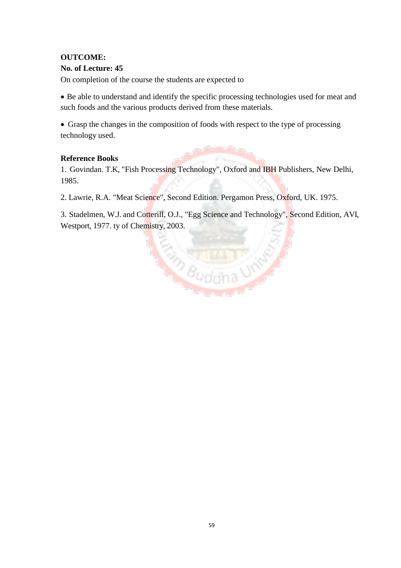# **OUTCOME:**

# **No. of Lecture: 45**

On completion of the course the students are expected to

 Be able to understand and identify the specific processing technologies used for meat and such foods and the various products derived from these materials.

 Grasp the changes in the composition of foods with respect to the type of processing technology used.

# **Reference Books**

1. Govindan. T.K, "Fish Processing Technology", Oxford and IBH Publishers, New Delhi, 1985.

2. Lawrie, R.A. "Meat Science", Second Edition. Pergamon Press, Oxford, UK. 1975.

3. Stadelmen, W.J. and Cotterill, O.J., "Egg Science and Technology", Second Edition, AVI, Westport, 1977. ty of Chemistry, 2003.

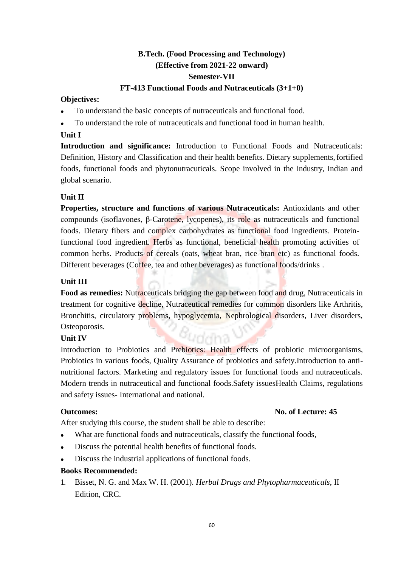# **B.Tech. (Food Processing and Technology) (Effective from 2021-22 onward) Semester-VII**

#### **FT-413 Functional Foods and Nutraceuticals (3+1+0)**

#### **Objectives:**

- To understand the basic concepts of nutraceuticals and functional food.
- To understand the role of nutraceuticals and functional food in human health.

# **Unit I**

**Introduction and significance:** Introduction to Functional Foods and Nutraceuticals: Definition, History and Classification and their health benefits. Dietary supplements,fortified foods, functional foods and phytonutracuticals. Scope involved in the industry, Indian and global scenario.

#### **Unit II**

**Properties, structure and functions of various Nutraceuticals:** Antioxidants and other compounds (isoflavones, β-Carotene, lycopenes), its role as nutraceuticals and functional foods. Dietary fibers and complex carbohydrates as functional food ingredients. Proteinfunctional food ingredient. Herbs as functional, beneficial health promoting activities of common herbs. Products of cereals (oats, wheat bran, rice bran etc) as functional foods. Different beverages (Coffee, tea and other beverages) as functional foods/drinks .

#### **Unit III**

**Food as remedies:** Nutraceuticals bridging the gap between food and drug, Nutraceuticals in treatment for cognitive decline, Nutraceutical remedies for common disorders like Arthritis, Bronchitis, circulatory problems, hypoglycemia, Nephrological disorders, Liver disorders, Osteoporosis. *udd*ha'

#### **Unit IV**

Introduction to Probiotics and Prebiotics: Health effects of probiotic microorganisms, Probiotics in various foods, Quality Assurance of probiotics and safety.Introduction to antinutritional factors. Marketing and regulatory issues for functional foods and nutraceuticals. Modern trends in nutraceutical and functional foods.Safety issuesHealth Claims, regulations and safety issues- International and national.

# **Outcomes: No. of Lecture: 45**

After studying this course, the student shall be able to describe:

- What are functional foods and nutraceuticals, classify the functional foods,
- Discuss the potential health benefits of functional foods.
- Discuss the industrial applications of functional foods.

#### **Books Recommended:**

1. Bisset, N. G. and Max W. H. (2001). *Herbal Drugs and Phytopharmaceuticals*, II Edition, CRC.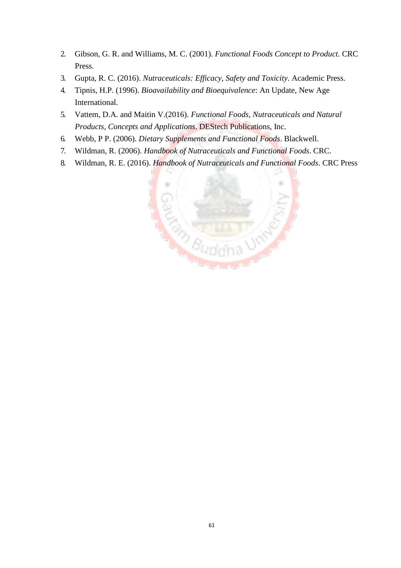- 2. Gibson, G. R. and Williams, M. C. (2001). *Functional Foods Concept to Product.* CRC Press.
- 3. Gupta, R. C. (2016). *Nutraceuticals: Efficacy, Safety and Toxicity*. Academic Press.
- 4. Tipnis, H.P. (1996). *Bioavailability and Bioequivalence*: An Update, New Age International.
- 5. Vattem, D.A. and Maitin V.(2016). *Functional Foods, Nutraceuticals and Natural Products, Concepts and Applications*. DEStech Publications, Inc.
- 6. Webb, P P. (2006). *Dietary Supplements and Functional Foods*. Blackwell.
- 7. Wildman, R. (2006). *Handbook of Nutraceuticals and Functional Foods*. CRC.
- 8. Wildman, R. E. (2016). *Handbook of Nutraceuticals and Functional Foods*. CRC Press

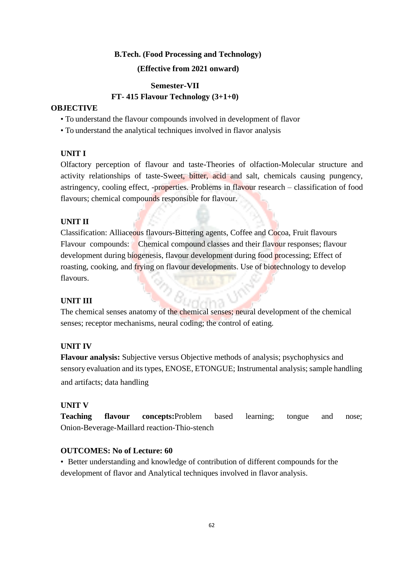#### **B.Tech. (Food Processing and Technology)**

#### **(Effective from 2021 onward)**

#### **Semester-VII**

#### **FT- 415 Flavour Technology (3+1+0)**

#### **OBJECTIVE**

- To understand the flavour compounds involved in development of flavor
- To understand the analytical techniques involved in flavor analysis

#### **UNIT I**

Olfactory perception of flavour and taste-Theories of olfaction-Molecular structure and activity relationships of taste-Sweet, bitter, acid and salt, chemicals causing pungency, astringency, cooling effect, -properties. Problems in flavour research – classification of food flavours; chemical compounds responsible for flavour.

#### **UNIT II**

Classification: Alliaceous flavours-Bittering agents, Coffee and Cocoa, Fruit flavours Flavour compounds: Chemical compound classes and their flavour responses; flavour development during biogenesis, flavour development during food processing; Effect of roasting, cooking, and frying on flavour developments. Use of biotechnology to develop flavours.

#### **UNIT III**

The chemical senses anatomy of the chemical senses; neural development of the chemical senses; receptor mechanisms, neural coding; the control of eating.

#### **UNIT IV**

**Flavour analysis:** Subjective versus Objective methods of analysis; psychophysics and sensory evaluation and its types, ENOSE, ETONGUE; Instrumental analysis; sample handling and artifacts; data handling

#### **UNIT V**

**Teaching flavour concepts:**Problem based learning; tongue and nose; Onion-Beverage-Maillard reaction-Thio-stench

#### **OUTCOMES: No of Lecture: 60**

• Better understanding and knowledge of contribution of different compounds for the development of flavor and Analytical techniques involved in flavor analysis.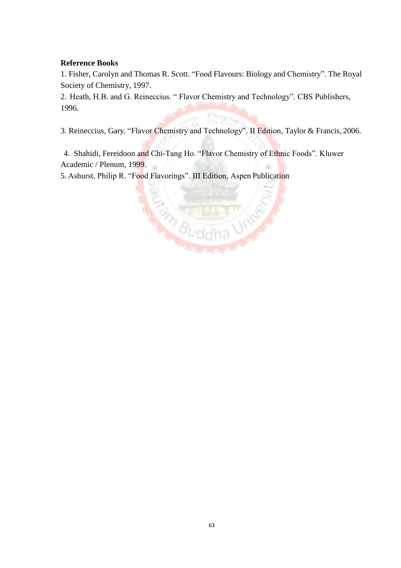# **Reference Books**

1. Fisher, Carolyn and Thomas R. Scott. "Food Flavours: Biology and Chemistry". The Royal Society of Chemistry, 1997.

2. Heath, H.B. and G. Reineccius. " Flavor Chemistry and Technology". CBS Publishers, 1996.

3. Reineccius, Gary. "Flavor Chemistry and Technology". II Edition, Taylor & Francis, 2006.

4. Shahidi, Fereidoon and Chi-Tang Ho. "Flavor Chemistry of Ethnic Foods". Kluwer Academic / Plenum, 1999.

5. Ashurst, Philip R. "Food Flavorings". III Edition, Aspen Publication

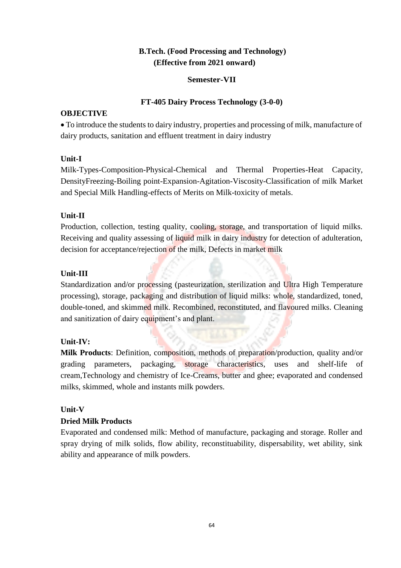# **B.Tech. (Food Processing and Technology) (Effective from 2021 onward)**

# **Semester-VII**

## **FT-405 Dairy Process Technology (3-0-0)**

#### **OBJECTIVE**

 To introduce the students to dairy industry, properties and processing of milk, manufacture of dairy products, sanitation and effluent treatment in dairy industry

# **Unit-I**

Milk-Types-Composition-Physical-Chemical and Thermal Properties-Heat Capacity, DensityFreezing-Boiling point-Expansion-Agitation-Viscosity-Classification of milk Market and Special Milk Handling-effects of Merits on Milk-toxicity of metals.

# **Unit-II**

Production, collection, testing quality, cooling, storage, and transportation of liquid milks. Receiving and quality assessing of liquid milk in dairy industry for detection of adulteration, decision for acceptance/rejection of the milk, Defects in market milk

# **Unit-III**

Standardization and/or processing (pasteurization, sterilization and Ultra High Temperature processing), storage, packaging and distribution of liquid milks: whole, standardized, toned, double-toned, and skimmed milk. Recombined, reconstituted, and flavoured milks. Cleaning and sanitization of dairy equipment's and plant.

# **Unit-IV:**

**Milk Products**: Definition, composition, methods of preparation/production, quality and/or grading parameters, packaging, storage characteristics, uses and shelf-life of cream,Technology and chemistry of Ice-Creams, butter and ghee; evaporated and condensed milks, skimmed, whole and instants milk powders.

# **Unit-V**

# **Dried Milk Products**

Evaporated and condensed milk: Method of manufacture, packaging and storage. Roller and spray drying of milk solids, flow ability, reconstituability, dispersability, wet ability, sink ability and appearance of milk powders.